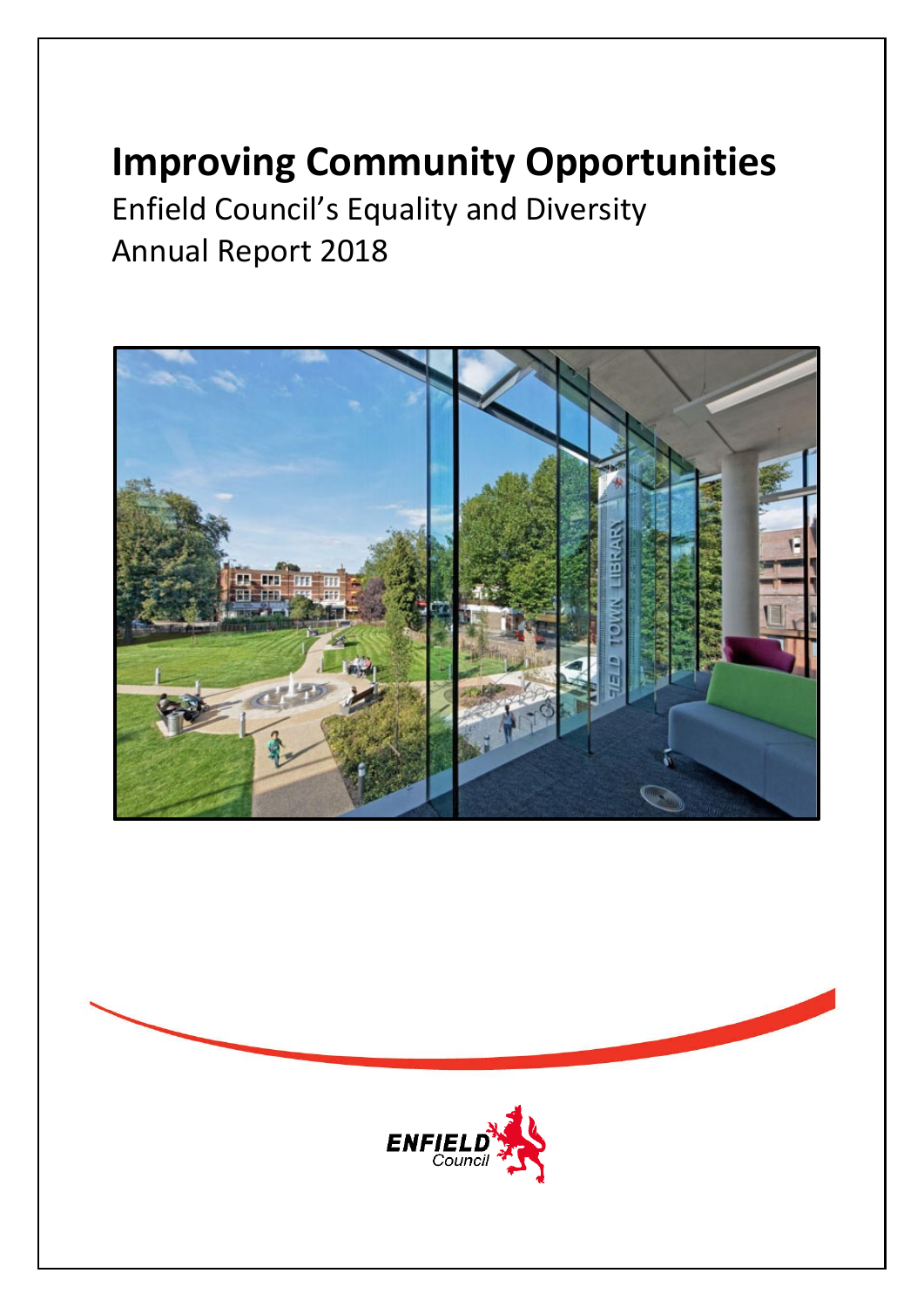# **Improving Community Opportunities**

Enfield Council's Equality and Diversity Annual Report 2018





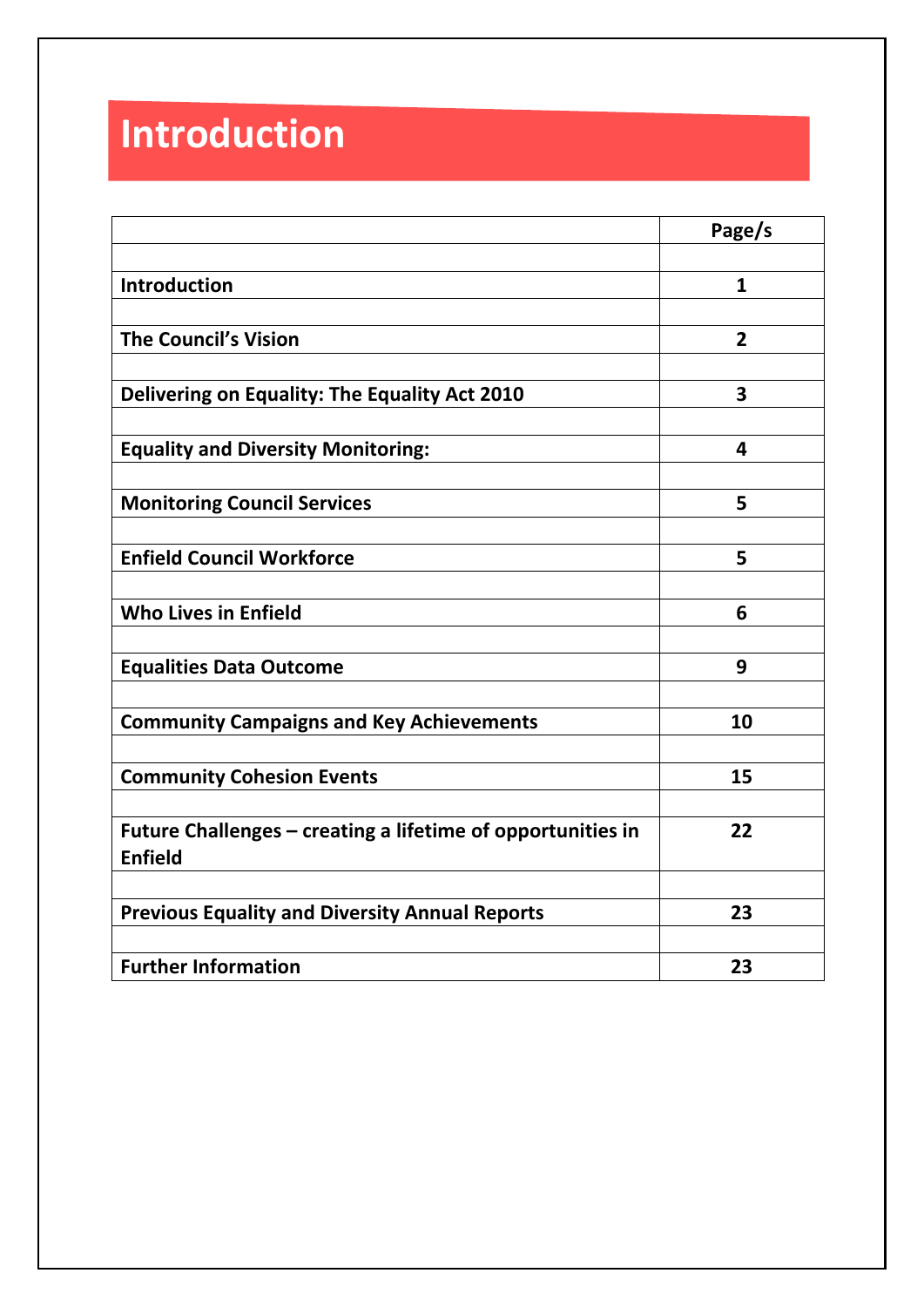# **Introduction**

|                                                                               | Page/s         |
|-------------------------------------------------------------------------------|----------------|
|                                                                               |                |
| <b>Introduction</b>                                                           | $\mathbf{1}$   |
|                                                                               |                |
| <b>The Council's Vision</b>                                                   | $\overline{2}$ |
|                                                                               |                |
| Delivering on Equality: The Equality Act 2010                                 | 3              |
| <b>Equality and Diversity Monitoring:</b>                                     | 4              |
|                                                                               |                |
| <b>Monitoring Council Services</b>                                            | 5              |
|                                                                               |                |
| <b>Enfield Council Workforce</b>                                              | 5              |
|                                                                               |                |
| <b>Who Lives in Enfield</b>                                                   | 6              |
| <b>Equalities Data Outcome</b>                                                | 9              |
|                                                                               |                |
| <b>Community Campaigns and Key Achievements</b>                               | 10             |
|                                                                               |                |
| <b>Community Cohesion Events</b>                                              | 15             |
|                                                                               |                |
| Future Challenges – creating a lifetime of opportunities in<br><b>Enfield</b> | 22             |
|                                                                               |                |
| <b>Previous Equality and Diversity Annual Reports</b>                         | 23             |
|                                                                               |                |
| <b>Further Information</b>                                                    | 23             |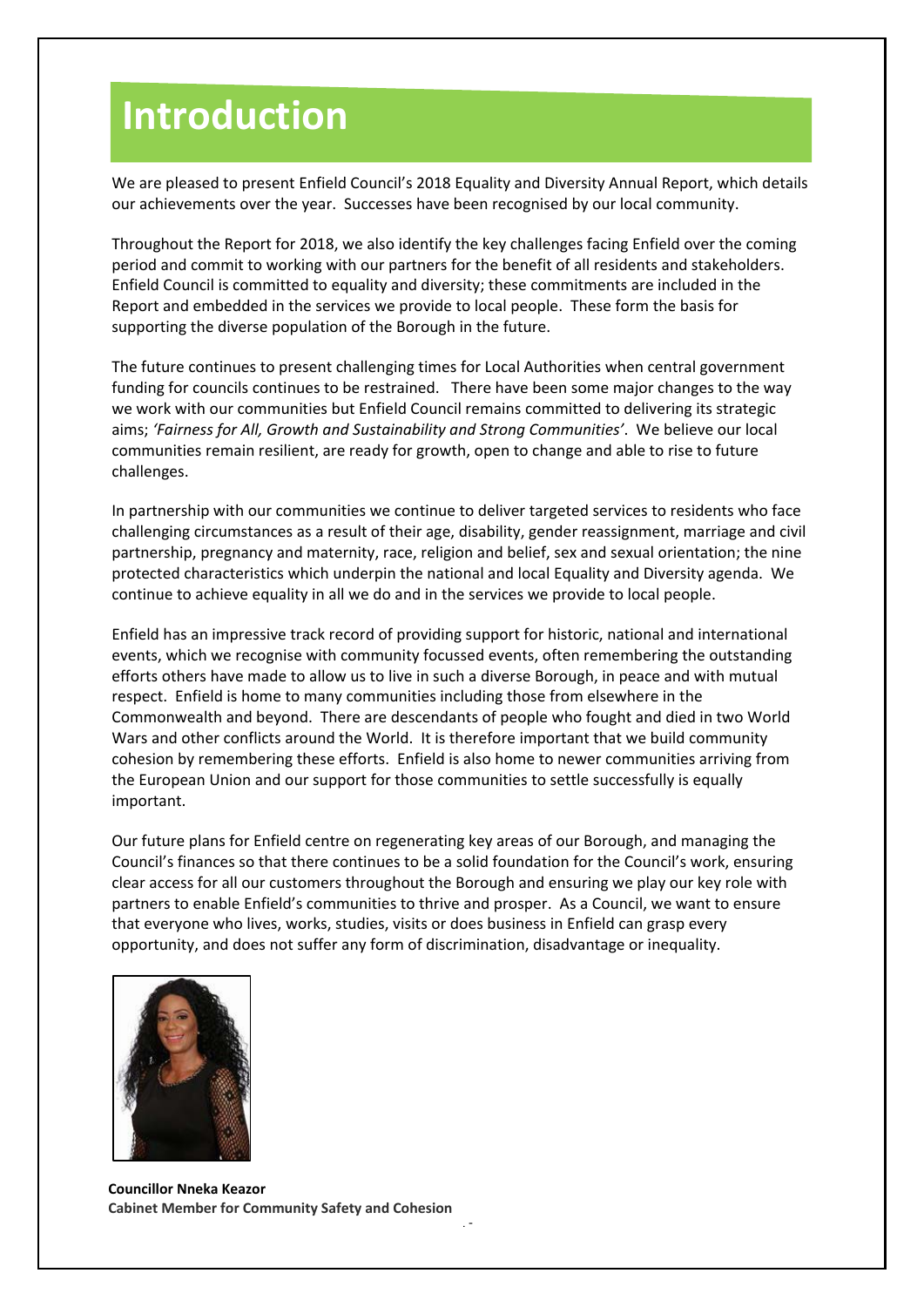## **Introduction**

We are pleased to present Enfield Council's 2018 Equality and Diversity Annual Report, which details our achievements over the year. Successes have been recognised by our local community.

Throughout the Report for 2018, we also identify the key challenges facing Enfield over the coming period and commit to working with our partners for the benefit of all residents and stakeholders. Enfield Council is committed to equality and diversity; these commitments are included in the Report and embedded in the services we provide to local people. These form the basis for supporting the diverse population of the Borough in the future.

The future continues to present challenging times for Local Authorities when central government funding for councils continues to be restrained. There have been some major changes to the way we work with our communities but Enfield Council remains committed to delivering its strategic aims; *'Fairness for All, Growth and Sustainability and Strong Communities'*. We believe our local communities remain resilient, are ready for growth, open to change and able to rise to future challenges.

In partnership with our communities we continue to deliver targeted services to residents who face challenging circumstances as a result of their age, disability, gender reassignment, marriage and civil partnership, pregnancy and maternity, race, religion and belief, sex and sexual orientation; the nine protected characteristics which underpin the national and local Equality and Diversity agenda. We continue to achieve equality in all we do and in the services we provide to local people.

Enfield has an impressive track record of providing support for historic, national and international events, which we recognise with community focussed events, often remembering the outstanding efforts others have made to allow us to live in such a diverse Borough, in peace and with mutual respect. Enfield is home to many communities including those from elsewhere in the Commonwealth and beyond. There are descendants of people who fought and died in two World Wars and other conflicts around the World. It is therefore important that we build community cohesion by remembering these efforts. Enfield is also home to newer communities arriving from the European Union and our support for those communities to settle successfully is equally important.

Our future plans for Enfield centre on regenerating key areas of our Borough, and managing the Council's finances so that there continues to be a solid foundation for the Council's work, ensuring clear access for all our customers throughout the Borough and ensuring we play our key role with partners to enable Enfield's communities to thrive and prosper. As a Council, we want to ensure that everyone who lives, works, studies, visits or does business in Enfield can grasp every opportunity, and does not suffer any form of discrimination, disadvantage or inequality.



- 1 - **Councillor Nneka Keazor Cabinet Member for Community Safety and Cohesion**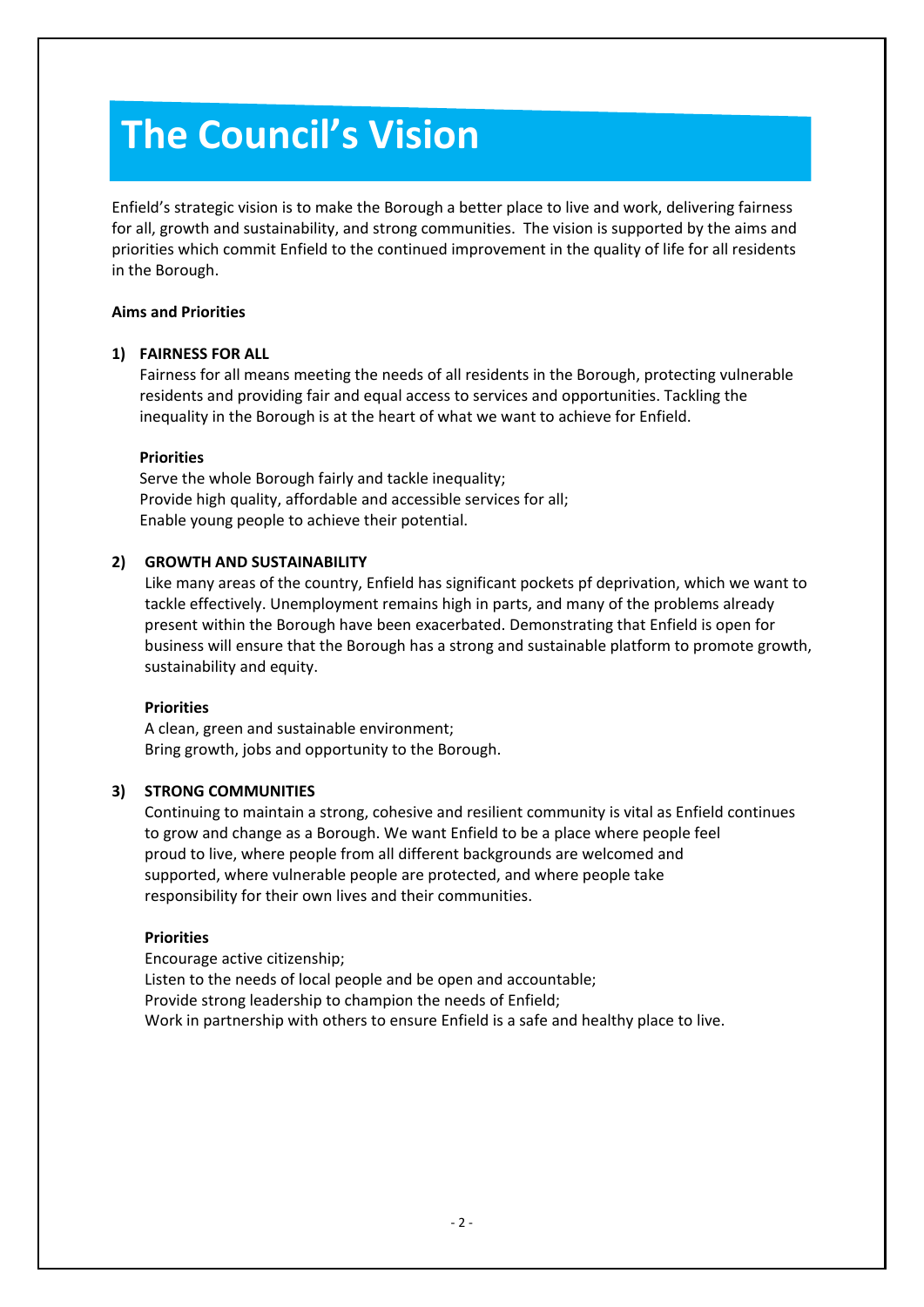# **The Council's Vision**

Enfield's strategic vision is to make the Borough a better place to live and work, delivering fairness for all, growth and sustainability, and strong communities. The vision is supported by the aims and priorities which commit Enfield to the continued improvement in the quality of life for all residents in the Borough.

#### **Aims and Priorities**

#### **1) FAIRNESS FOR ALL**

Fairness for all means meeting the needs of all residents in the Borough, protecting vulnerable residents and providing fair and equal access to services and opportunities. Tackling the inequality in the Borough is at the heart of what we want to achieve for Enfield.

#### **Priorities**

Serve the whole Borough fairly and tackle inequality; Provide high quality, affordable and accessible services for all; Enable young people to achieve their potential.

#### **2) GROWTH AND SUSTAINABILITY**

Like many areas of the country, Enfield has significant pockets pf deprivation, which we want to tackle effectively. Unemployment remains high in parts, and many of the problems already present within the Borough have been exacerbated. Demonstrating that Enfield is open for business will ensure that the Borough has a strong and sustainable platform to promote growth, sustainability and equity.

#### **Priorities**

A clean, green and sustainable environment; Bring growth, jobs and opportunity to the Borough.

#### **3) STRONG COMMUNITIES**

Continuing to maintain a strong, cohesive and resilient community is vital as Enfield continues to grow and change as a Borough. We want Enfield to be a place where people feel proud to live, where people from all different backgrounds are welcomed and supported, where vulnerable people are protected, and where people take responsibility for their own lives and their communities.

#### **Priorities**

Encourage active citizenship; Listen to the needs of local people and be open and accountable; Provide strong leadership to champion the needs of Enfield; Work in partnership with others to ensure Enfield is a safe and healthy place to live.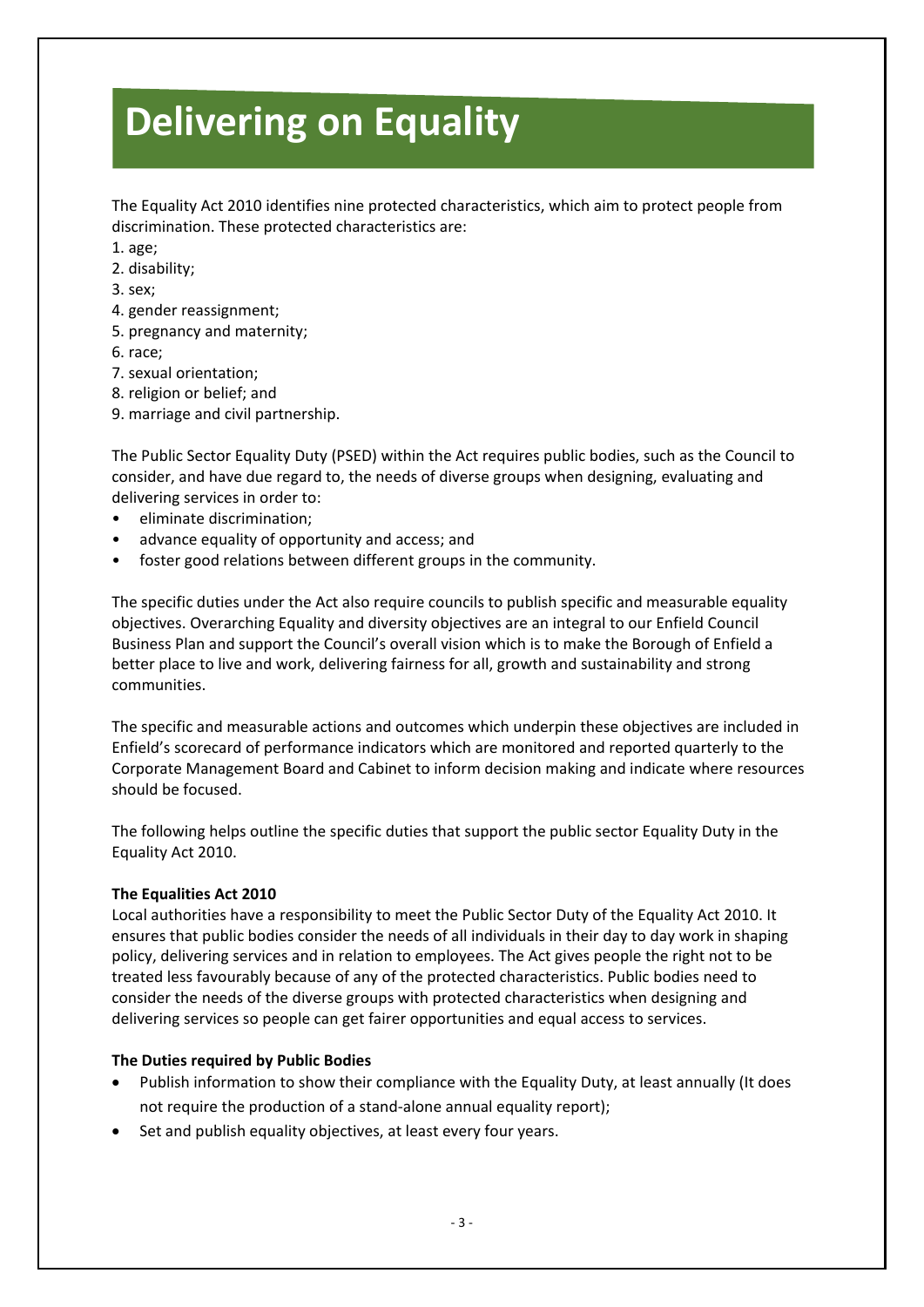# **Delivering on Equality**

The Equality Act 2010 identifies nine protected characteristics, which aim to protect people from discrimination. These protected characteristics are:

- 1. age;
- 2. disability;
- 3. sex;
- 4. gender reassignment;
- 5. pregnancy and maternity;
- 6. race;
- 7. sexual orientation;
- 8. religion or belief; and
- 9. marriage and civil partnership.

The Public Sector Equality Duty (PSED) within the Act requires public bodies, such as the Council to consider, and have due regard to, the needs of diverse groups when designing, evaluating and delivering services in order to:

- eliminate discrimination;
- advance equality of opportunity and access; and
- foster good relations between different groups in the community.

The specific duties under the Act also require councils to publish specific and measurable equality objectives. Overarching Equality and diversity objectives are an integral to our Enfield Council Business Plan and support the Council's overall vision which is to make the Borough of Enfield a better place to live and work, delivering fairness for all, growth and sustainability and strong communities.

The specific and measurable actions and outcomes which underpin these objectives are included in Enfield's scorecard of performance indicators which are monitored and reported quarterly to the Corporate Management Board and Cabinet to inform decision making and indicate where resources should be focused.

The following helps outline the specific duties that support the public sector Equality Duty in the Equality Act 2010.

#### **The Equalities Act 2010**

Local authorities have a responsibility to meet the Public Sector Duty of the Equality Act 2010. It ensures that public bodies consider the needs of all individuals in their day to day work in shaping policy, delivering services and in relation to employees. The Act gives people the right not to be treated less favourably because of any of the protected characteristics. Public bodies need to consider the needs of the diverse groups with protected characteristics when designing and delivering services so people can get fairer opportunities and equal access to services.

#### **The Duties required by Public Bodies**

- Publish information to show their compliance with the Equality Duty, at least annually (It does not require the production of a stand-alone annual equality report);
- Set and publish equality objectives, at least every four years.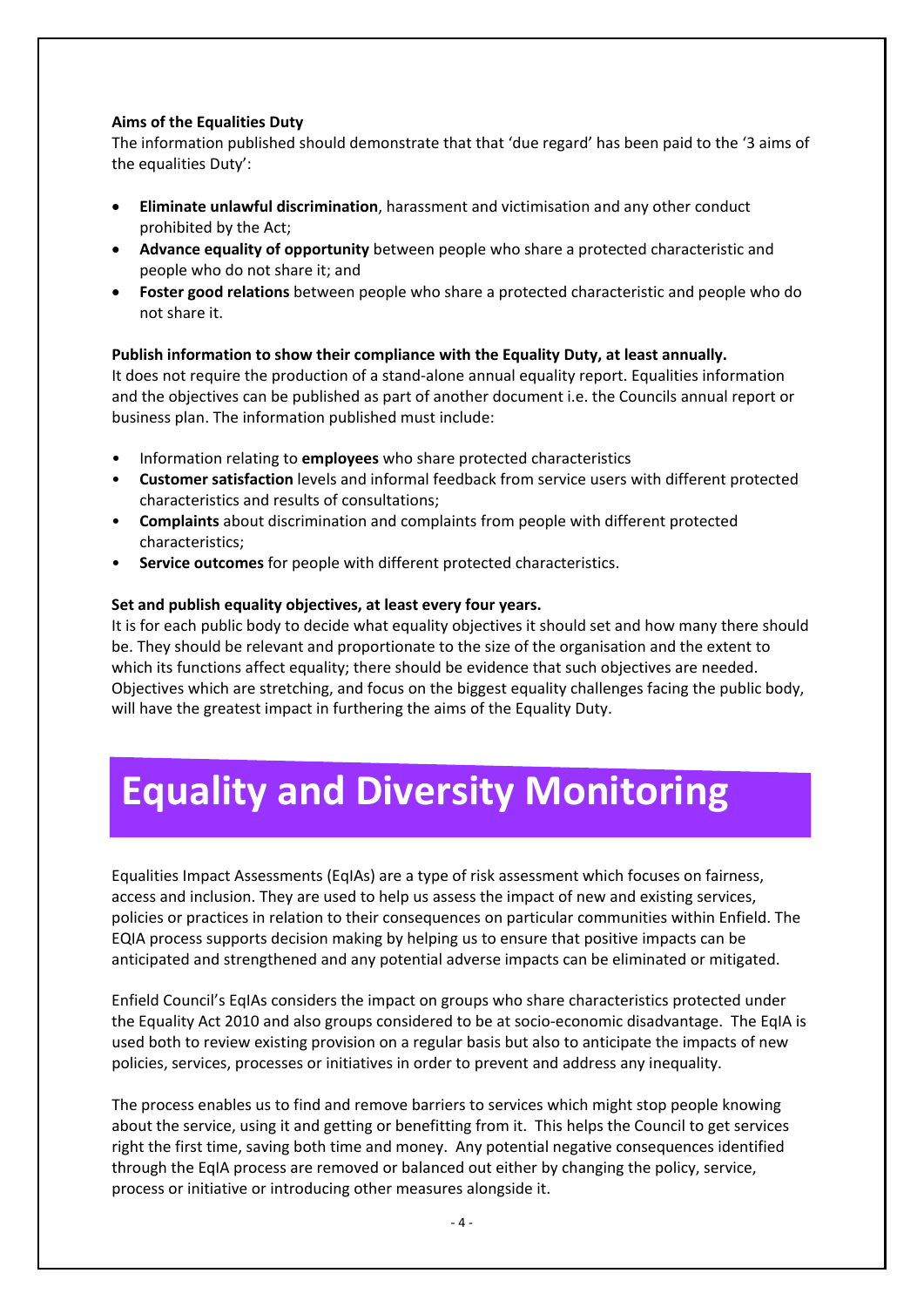#### **Aims of the Equalities Duty**

The information published should demonstrate that that 'due regard' has been paid to the '3 aims of the equalities Duty':

- **Eliminate unlawful discrimination**, harassment and victimisation and any other conduct prohibited by the Act;
- **Advance equality of opportunity** between people who share a protected characteristic and people who do not share it; and
- **Foster good relations** between people who share a protected characteristic and people who do not share it.

#### **Publish information to show their compliance with the Equality Duty, at least annually.**

It does not require the production of a stand-alone annual equality report. Equalities information and the objectives can be published as part of another document i.e. the Councils annual report or business plan. The information published must include:

- Information relating to **employees** who share protected characteristics
- **Customer satisfaction** levels and informal feedback from service users with different protected characteristics and results of consultations;
- **Complaints** about discrimination and complaints from people with different protected characteristics;
- **Service outcomes** for people with different protected characteristics.

#### **Set and publish equality objectives, at least every four years.**

It is for each public body to decide what equality objectives it should set and how many there should be. They should be relevant and proportionate to the size of the organisation and the extent to which its functions affect equality; there should be evidence that such objectives are needed. Objectives which are stretching, and focus on the biggest equality challenges facing the public body, will have the greatest impact in furthering the aims of the Equality Duty.

# **Equality and Diversity Monitoring**

Equalities Impact Assessments (EqIAs) are a type of risk assessment which focuses on fairness, access and inclusion. They are used to help us assess the impact of new and existing services, policies or practices in relation to their consequences on particular communities within Enfield. The EQIA process supports decision making by helping us to ensure that positive impacts can be anticipated and strengthened and any potential adverse impacts can be eliminated or mitigated.

Enfield Council's EqIAs considers the impact on groups who share characteristics protected under the Equality Act 2010 and also groups considered to be at socio-economic disadvantage. The EqIA is used both to review existing provision on a regular basis but also to anticipate the impacts of new policies, services, processes or initiatives in order to prevent and address any inequality.

The process enables us to find and remove barriers to services which might stop people knowing about the service, using it and getting or benefitting from it. This helps the Council to get services right the first time, saving both time and money. Any potential negative consequences identified through the EqIA process are removed or balanced out either by changing the policy, service, process or initiative or introducing other measures alongside it.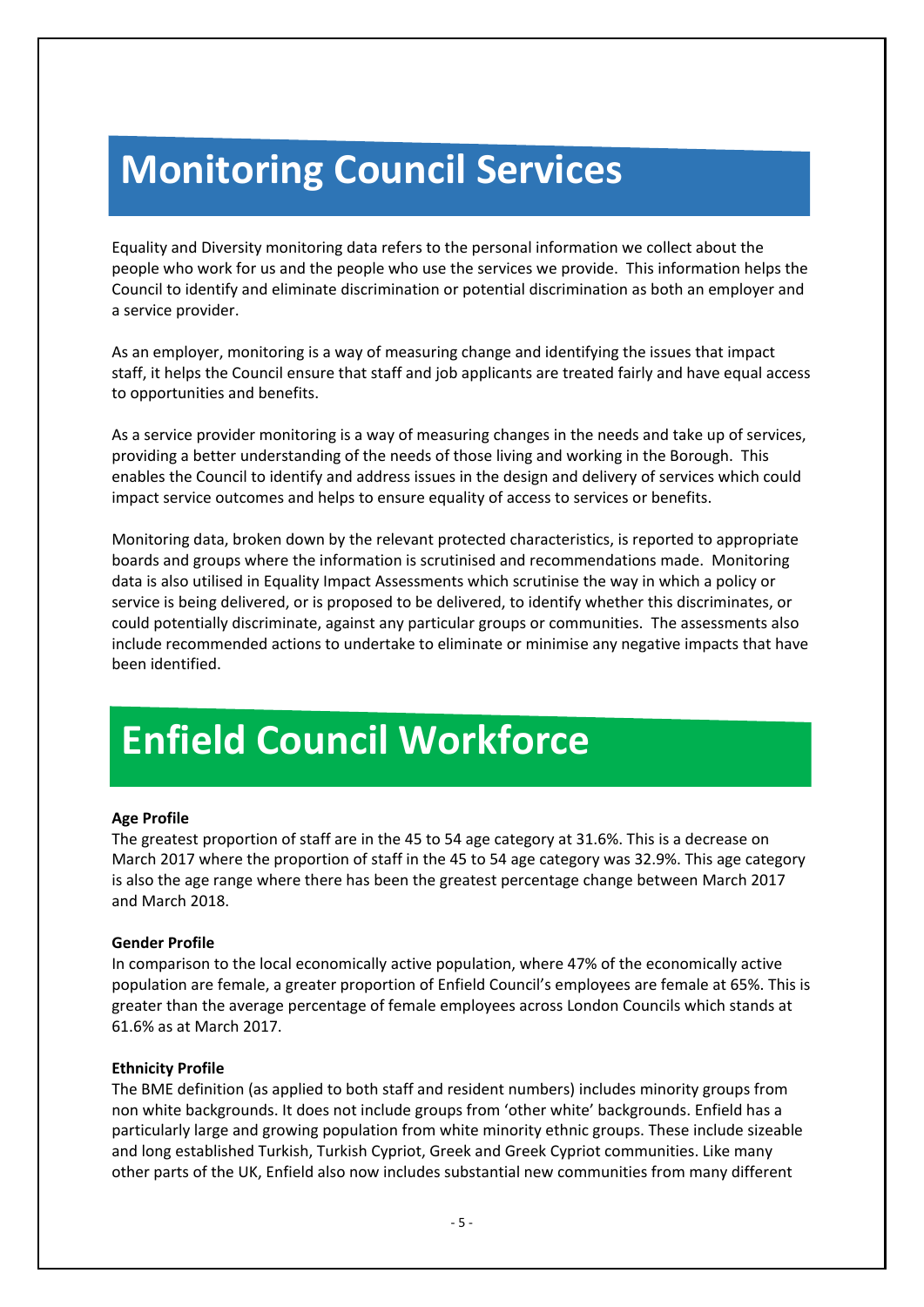## **Monitoring Council Services**

Equality and Diversity monitoring data refers to the personal information we collect about the people who work for us and the people who use the services we provide. This information helps the Council to identify and eliminate discrimination or potential discrimination as both an employer and a service provider.

As an employer, monitoring is a way of measuring change and identifying the issues that impact staff, it helps the Council ensure that staff and job applicants are treated fairly and have equal access to opportunities and benefits.

As a service provider monitoring is a way of measuring changes in the needs and take up of services, providing a better understanding of the needs of those living and working in the Borough. This enables the Council to identify and address issues in the design and delivery of services which could impact service outcomes and helps to ensure equality of access to services or benefits.

Monitoring data, broken down by the relevant protected characteristics, is reported to appropriate boards and groups where the information is scrutinised and recommendations made. Monitoring data is also utilised in Equality Impact Assessments which scrutinise the way in which a policy or service is being delivered, or is proposed to be delivered, to identify whether this discriminates, or could potentially discriminate, against any particular groups or communities. The assessments also include recommended actions to undertake to eliminate or minimise any negative impacts that have been identified.

## **Enfield Council Workforce**

#### **Age Profile**

The greatest proportion of staff are in the 45 to 54 age category at 31.6%. This is a decrease on March 2017 where the proportion of staff in the 45 to 54 age category was 32.9%. This age category is also the age range where there has been the greatest percentage change between March 2017 and March 2018.

#### **Gender Profile**

In comparison to the local economically active population, where 47% of the economically active population are female, a greater proportion of Enfield Council's employees are female at 65%. This is greater than the average percentage of female employees across London Councils which stands at 61.6% as at March 2017.

#### **Ethnicity Profile**

The BME definition (as applied to both staff and resident numbers) includes minority groups from non white backgrounds. It does not include groups from 'other white' backgrounds. Enfield has a particularly large and growing population from white minority ethnic groups. These include sizeable and long established Turkish, Turkish Cypriot, Greek and Greek Cypriot communities. Like many other parts of the UK, Enfield also now includes substantial new communities from many different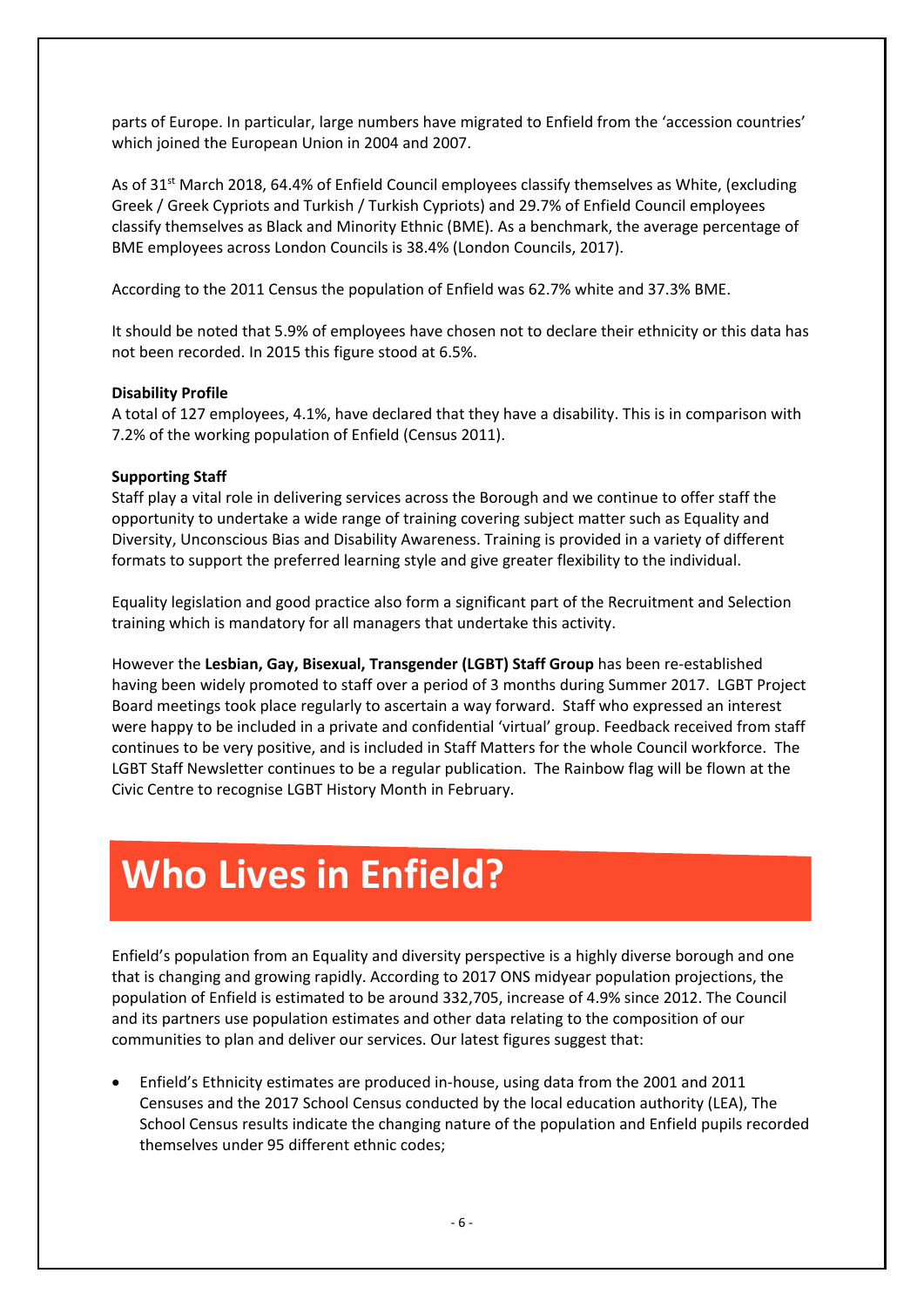parts of Europe. In particular, large numbers have migrated to Enfield from the 'accession countries' which joined the European Union in 2004 and 2007.

As of 31<sup>st</sup> March 2018, 64.4% of Enfield Council employees classify themselves as White, (excluding Greek / Greek Cypriots and Turkish / Turkish Cypriots) and 29.7% of Enfield Council employees classify themselves as Black and Minority Ethnic (BME). As a benchmark, the average percentage of BME employees across London Councils is 38.4% (London Councils, 2017).

According to the 2011 Census the population of Enfield was 62.7% white and 37.3% BME.

It should be noted that 5.9% of employees have chosen not to declare their ethnicity or this data has not been recorded. In 2015 this figure stood at 6.5%.

#### **Disability Profile**

A total of 127 employees, 4.1%, have declared that they have a disability. This is in comparison with 7.2% of the working population of Enfield (Census 2011).

#### **Supporting Staff**

Staff play a vital role in delivering services across the Borough and we continue to offer staff the opportunity to undertake a wide range of training covering subject matter such as Equality and Diversity, Unconscious Bias and Disability Awareness. Training is provided in a variety of different formats to support the preferred learning style and give greater flexibility to the individual.

Equality legislation and good practice also form a significant part of the Recruitment and Selection training which is mandatory for all managers that undertake this activity.

However the **Lesbian, Gay, Bisexual, Transgender (LGBT) Staff Group** has been re-established having been widely promoted to staff over a period of 3 months during Summer 2017. LGBT Project Board meetings took place regularly to ascertain a way forward. Staff who expressed an interest were happy to be included in a private and confidential 'virtual' group. Feedback received from staff continues to be very positive, and is included in Staff Matters for the whole Council workforce. The LGBT Staff Newsletter continues to be a regular publication. The Rainbow flag will be flown at the Civic Centre to recognise LGBT History Month in February.

## **Who Lives in Enfield?**

Enfield's population from an Equality and diversity perspective is a highly diverse borough and one that is changing and growing rapidly. According to 2017 ONS midyear population projections, the population of Enfield is estimated to be around 332,705, increase of 4.9% since 2012. The Council and its partners use population estimates and other data relating to the composition of our communities to plan and deliver our services. Our latest figures suggest that:

• Enfield's Ethnicity estimates are produced in-house, using data from the 2001 and 2011 Censuses and the 2017 School Census conducted by the local education authority (LEA), The School Census results indicate the changing nature of the population and Enfield pupils recorded themselves under 95 different ethnic codes;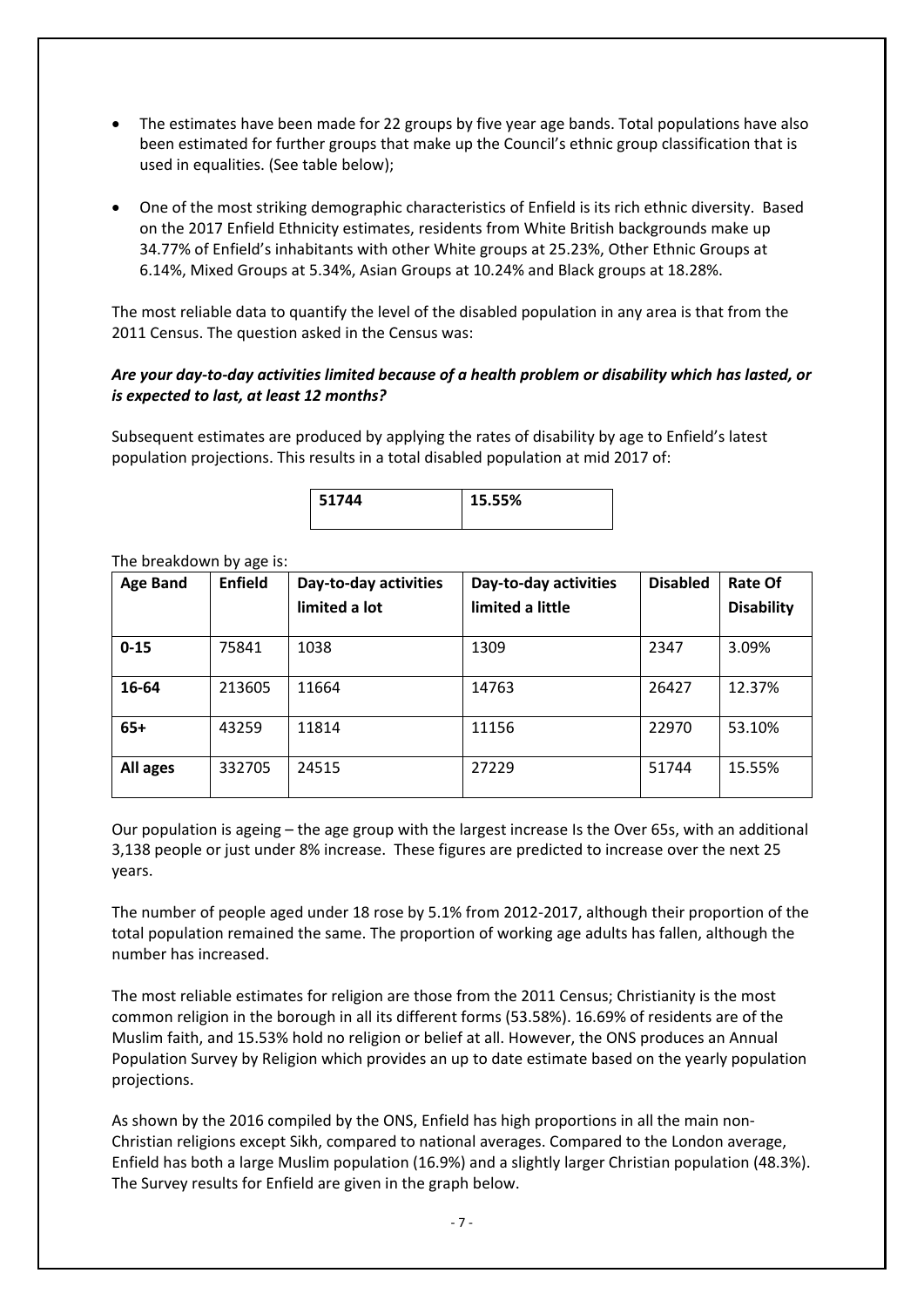- The estimates have been made for 22 groups by five year age bands. Total populations have also been estimated for further groups that make up the Council's ethnic group classification that is used in equalities. (See table below);
- One of the most striking demographic characteristics of Enfield is its rich ethnic diversity. Based on the 2017 Enfield Ethnicity estimates, residents from White British backgrounds make up 34.77% of Enfield's inhabitants with other White groups at 25.23%, Other Ethnic Groups at 6.14%, Mixed Groups at 5.34%, Asian Groups at 10.24% and Black groups at 18.28%.

The most reliable data to quantify the level of the disabled population in any area is that from the 2011 Census. The question asked in the Census was:

#### *Are your day-to-day activities limited because of a health problem or disability which has lasted, or is expected to last, at least 12 months?*

Subsequent estimates are produced by applying the rates of disability by age to Enfield's latest population projections. This results in a total disabled population at mid 2017 of:



| <b>Age Band</b> | <b>Enfield</b> | Day-to-day activities | Day-to-day activities | <b>Disabled</b> | <b>Rate Of</b>    |
|-----------------|----------------|-----------------------|-----------------------|-----------------|-------------------|
|                 |                | limited a lot         | limited a little      |                 | <b>Disability</b> |
| $0 - 15$        | 75841          | 1038                  | 1309                  | 2347            | 3.09%             |
| 16-64           | 213605         | 11664                 | 14763                 | 26427           | 12.37%            |
| $65+$           | 43259          | 11814                 | 11156                 | 22970           | 53.10%            |
| All ages        | 332705         | 24515                 | 27229                 | 51744           | 15.55%            |

The breakdown by age is:

Our population is ageing – the age group with the largest increase Is the Over 65s, with an additional 3,138 people or just under 8% increase. These figures are predicted to increase over the next 25 years.

The number of people aged under 18 rose by 5.1% from 2012-2017, although their proportion of the total population remained the same. The proportion of working age adults has fallen, although the number has increased.

The most reliable estimates for religion are those from the 2011 Census; Christianity is the most common religion in the borough in all its different forms (53.58%). 16.69% of residents are of the Muslim faith, and 15.53% hold no religion or belief at all. However, the ONS produces an Annual Population Survey by Religion which provides an up to date estimate based on the yearly population projections.

As shown by the 2016 compiled by the ONS, Enfield has high proportions in all the main non-Christian religions except Sikh, compared to national averages. Compared to the London average, Enfield has both a large Muslim population (16.9%) and a slightly larger Christian population (48.3%). The Survey results for Enfield are given in the graph below.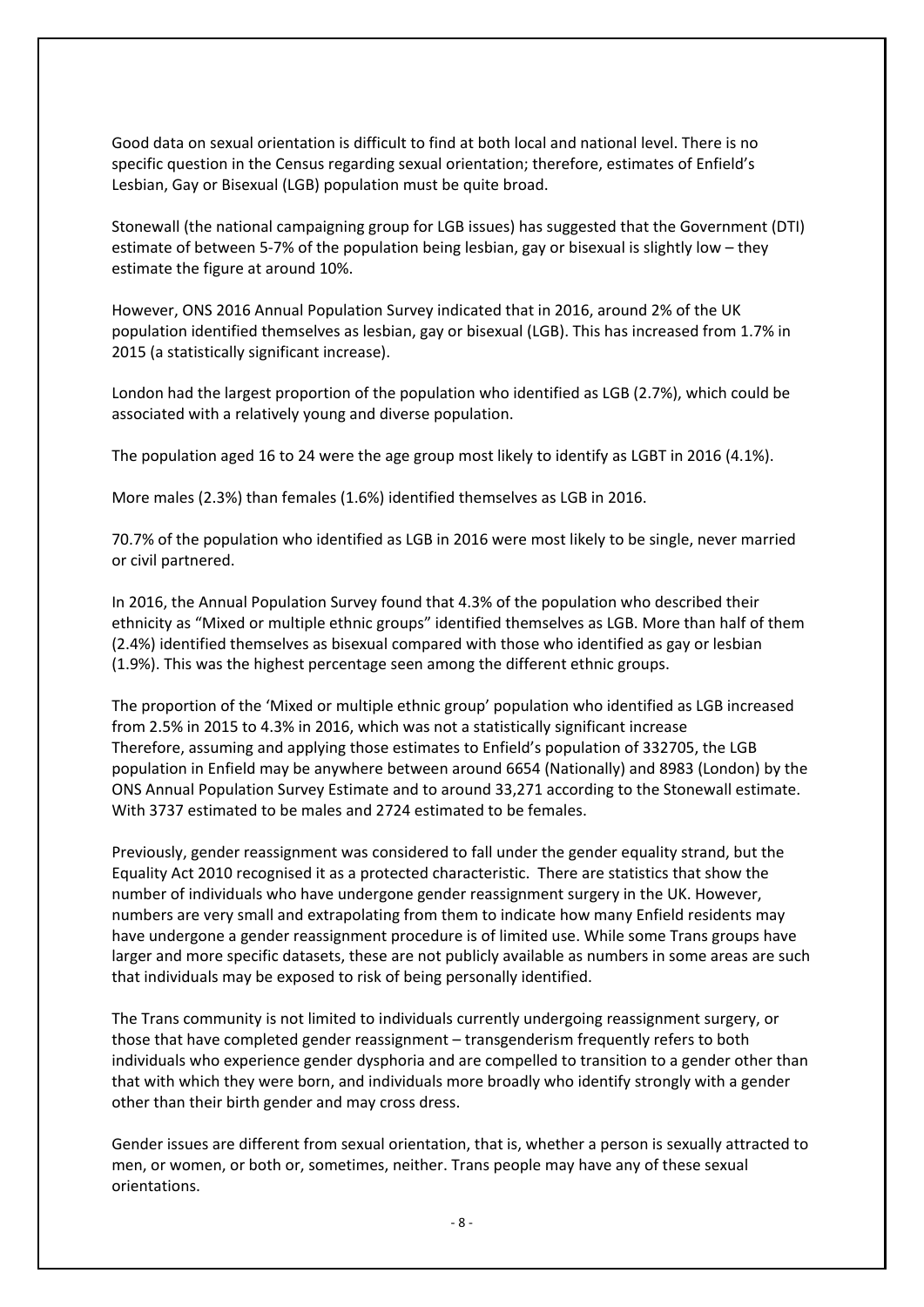Good data on sexual orientation is difficult to find at both local and national level. There is no specific question in the Census regarding sexual orientation; therefore, estimates of Enfield's Lesbian, Gay or Bisexual (LGB) population must be quite broad.

Stonewall (the national campaigning group for LGB issues) has suggested that the Government (DTI) estimate of between 5-7% of the population being lesbian, gay or bisexual is slightly low – they estimate the figure at around 10%.

However, ONS 2016 Annual Population Survey indicated that in 2016, around 2% of the UK population identified themselves as lesbian, gay or bisexual (LGB). This has increased from 1.7% in 2015 (a statistically significant increase).

London had the largest proportion of the population who identified as LGB (2.7%), which could be associated with a relatively young and diverse population.

The population aged 16 to 24 were the age group most likely to identify as LGBT in 2016 (4.1%).

More males (2.3%) than females (1.6%) identified themselves as LGB in 2016.

70.7% of the population who identified as LGB in 2016 were most likely to be single, never married or civil partnered.

In 2016, the Annual Population Survey found that 4.3% of the population who described their ethnicity as "Mixed or multiple ethnic groups" identified themselves as LGB. More than half of them (2.4%) identified themselves as bisexual compared with those who identified as gay or lesbian (1.9%). This was the highest percentage seen among the different ethnic groups.

The proportion of the 'Mixed or multiple ethnic group' population who identified as LGB increased from 2.5% in 2015 to 4.3% in 2016, which was not a statistically significant increase Therefore, assuming and applying those estimates to Enfield's population of 332705, the LGB population in Enfield may be anywhere between around 6654 (Nationally) and 8983 (London) by the ONS Annual Population Survey Estimate and to around 33,271 according to the Stonewall estimate. With 3737 estimated to be males and 2724 estimated to be females.

Previously, gender reassignment was considered to fall under the gender equality strand, but the Equality Act 2010 recognised it as a protected characteristic. There are statistics that show the number of individuals who have undergone gender reassignment surgery in the UK. However, numbers are very small and extrapolating from them to indicate how many Enfield residents may have undergone a gender reassignment procedure is of limited use. While some Trans groups have larger and more specific datasets, these are not publicly available as numbers in some areas are such that individuals may be exposed to risk of being personally identified.

The Trans community is not limited to individuals currently undergoing reassignment surgery, or those that have completed gender reassignment – transgenderism frequently refers to both individuals who experience gender dysphoria and are compelled to transition to a gender other than that with which they were born, and individuals more broadly who identify strongly with a gender other than their birth gender and may cross dress.

Gender issues are different from sexual orientation, that is, whether a person is sexually attracted to men, or women, or both or, sometimes, neither. Trans people may have any of these sexual orientations.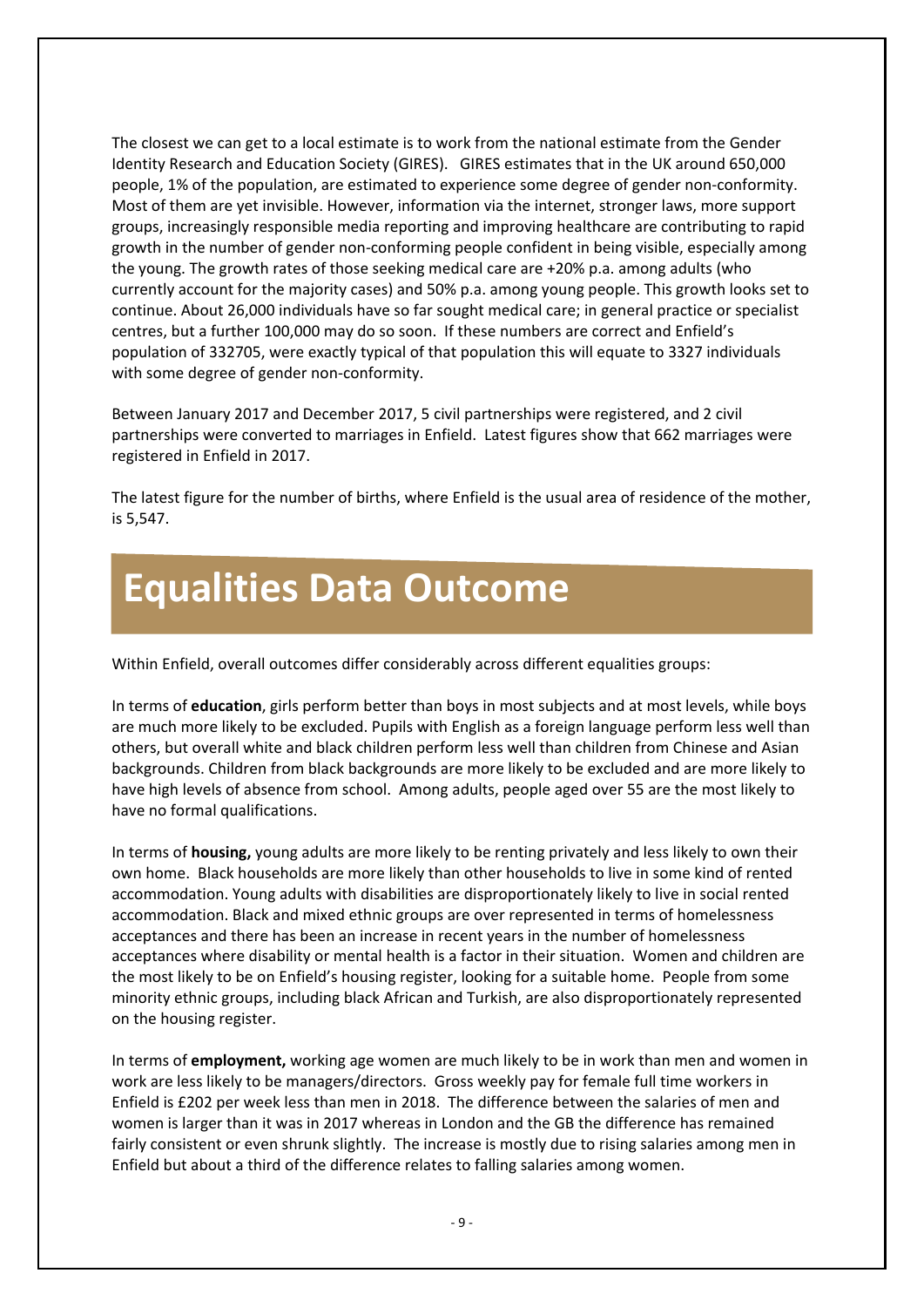The closest we can get to a local estimate is to work from the national estimate from the Gender Identity Research and Education Society (GIRES). GIRES estimates that in the UK around 650,000 people, 1% of the population, are estimated to experience some degree of gender non-conformity. Most of them are yet invisible. However, information via the internet, stronger laws, more support groups, increasingly responsible media reporting and improving healthcare are contributing to rapid growth in the number of gender non-conforming people confident in being visible, especially among the young. The growth rates of those seeking medical care are +20% p.a. among adults (who currently account for the majority cases) and 50% p.a. among young people. This growth looks set to continue. About 26,000 individuals have so far sought medical care; in general practice or specialist centres, but a further 100,000 may do so soon. If these numbers are correct and Enfield's population of 332705, were exactly typical of that population this will equate to 3327 individuals with some degree of gender non-conformity.

Between January 2017 and December 2017, 5 civil partnerships were registered, and 2 civil partnerships were converted to marriages in Enfield. Latest figures show that 662 marriages were registered in Enfield in 2017.

The latest figure for the number of births, where Enfield is the usual area of residence of the mother, is 5,547.

## **Equalities Data Outcome**

Within Enfield, overall outcomes differ considerably across different equalities groups:

In terms of **education**, girls perform better than boys in most subjects and at most levels, while boys are much more likely to be excluded. Pupils with English as a foreign language perform less well than others, but overall white and black children perform less well than children from Chinese and Asian backgrounds. Children from black backgrounds are more likely to be excluded and are more likely to have high levels of absence from school. Among adults, people aged over 55 are the most likely to have no formal qualifications.

In terms of **housing,** young adults are more likely to be renting privately and less likely to own their own home. Black households are more likely than other households to live in some kind of rented accommodation. Young adults with disabilities are disproportionately likely to live in social rented accommodation. Black and mixed ethnic groups are over represented in terms of homelessness acceptances and there has been an increase in recent years in the number of homelessness acceptances where disability or mental health is a factor in their situation. Women and children are the most likely to be on Enfield's housing register, looking for a suitable home. People from some minority ethnic groups, including black African and Turkish, are also disproportionately represented on the housing register.

In terms of **employment,** working age women are much likely to be in work than men and women in work are less likely to be managers/directors. Gross weekly pay for female full time workers in Enfield is £202 per week less than men in 2018. The difference between the salaries of men and women is larger than it was in 2017 whereas in London and the GB the difference has remained fairly consistent or even shrunk slightly. The increase is mostly due to rising salaries among men in Enfield but about a third of the difference relates to falling salaries among women.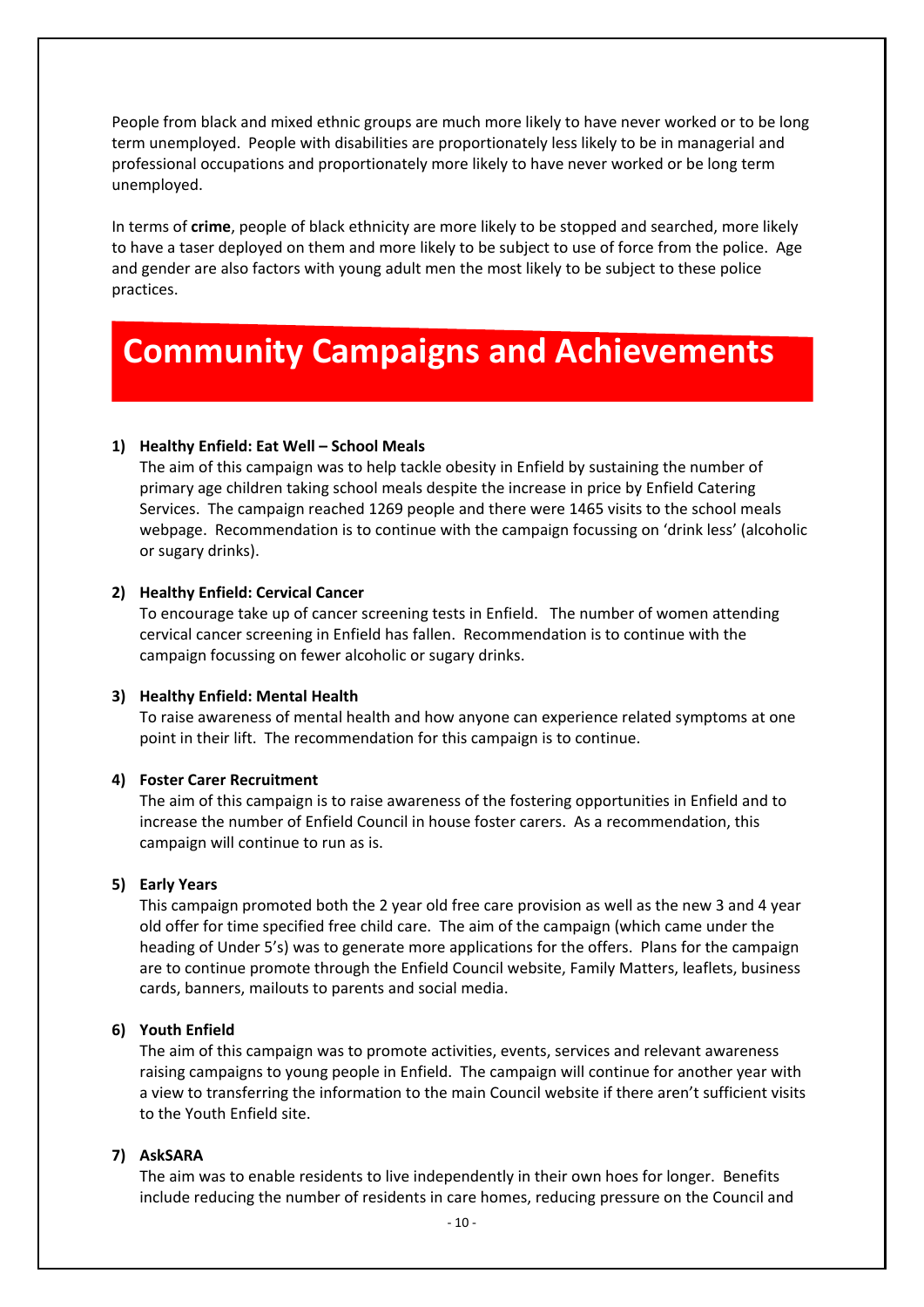People from black and mixed ethnic groups are much more likely to have never worked or to be long term unemployed. People with disabilities are proportionately less likely to be in managerial and professional occupations and proportionately more likely to have never worked or be long term unemployed.

In terms of **crime**, people of black ethnicity are more likely to be stopped and searched, more likely to have a taser deployed on them and more likely to be subject to use of force from the police. Age and gender are also factors with young adult men the most likely to be subject to these police practices.

## **Community Campaigns and Achievements**

#### **1) Healthy Enfield: Eat Well – School Meals**

The aim of this campaign was to help tackle obesity in Enfield by sustaining the number of primary age children taking school meals despite the increase in price by Enfield Catering Services. The campaign reached 1269 people and there were 1465 visits to the school meals webpage. Recommendation is to continue with the campaign focussing on 'drink less' (alcoholic or sugary drinks).

#### **2) Healthy Enfield: Cervical Cancer**

To encourage take up of cancer screening tests in Enfield. The number of women attending cervical cancer screening in Enfield has fallen. Recommendation is to continue with the campaign focussing on fewer alcoholic or sugary drinks.

#### **3) Healthy Enfield: Mental Health**

To raise awareness of mental health and how anyone can experience related symptoms at one point in their lift. The recommendation for this campaign is to continue.

#### **4) Foster Carer Recruitment**

The aim of this campaign is to raise awareness of the fostering opportunities in Enfield and to increase the number of Enfield Council in house foster carers. As a recommendation, this campaign will continue to run as is.

#### **5) Early Years**

This campaign promoted both the 2 year old free care provision as well as the new 3 and 4 year old offer for time specified free child care. The aim of the campaign (which came under the heading of Under 5's) was to generate more applications for the offers. Plans for the campaign are to continue promote through the Enfield Council website, Family Matters, leaflets, business cards, banners, mailouts to parents and social media.

#### **6) Youth Enfield**

The aim of this campaign was to promote activities, events, services and relevant awareness raising campaigns to young people in Enfield. The campaign will continue for another year with a view to transferring the information to the main Council website if there aren't sufficient visits to the Youth Enfield site.

#### **7) AskSARA**

The aim was to enable residents to live independently in their own hoes for longer. Benefits include reducing the number of residents in care homes, reducing pressure on the Council and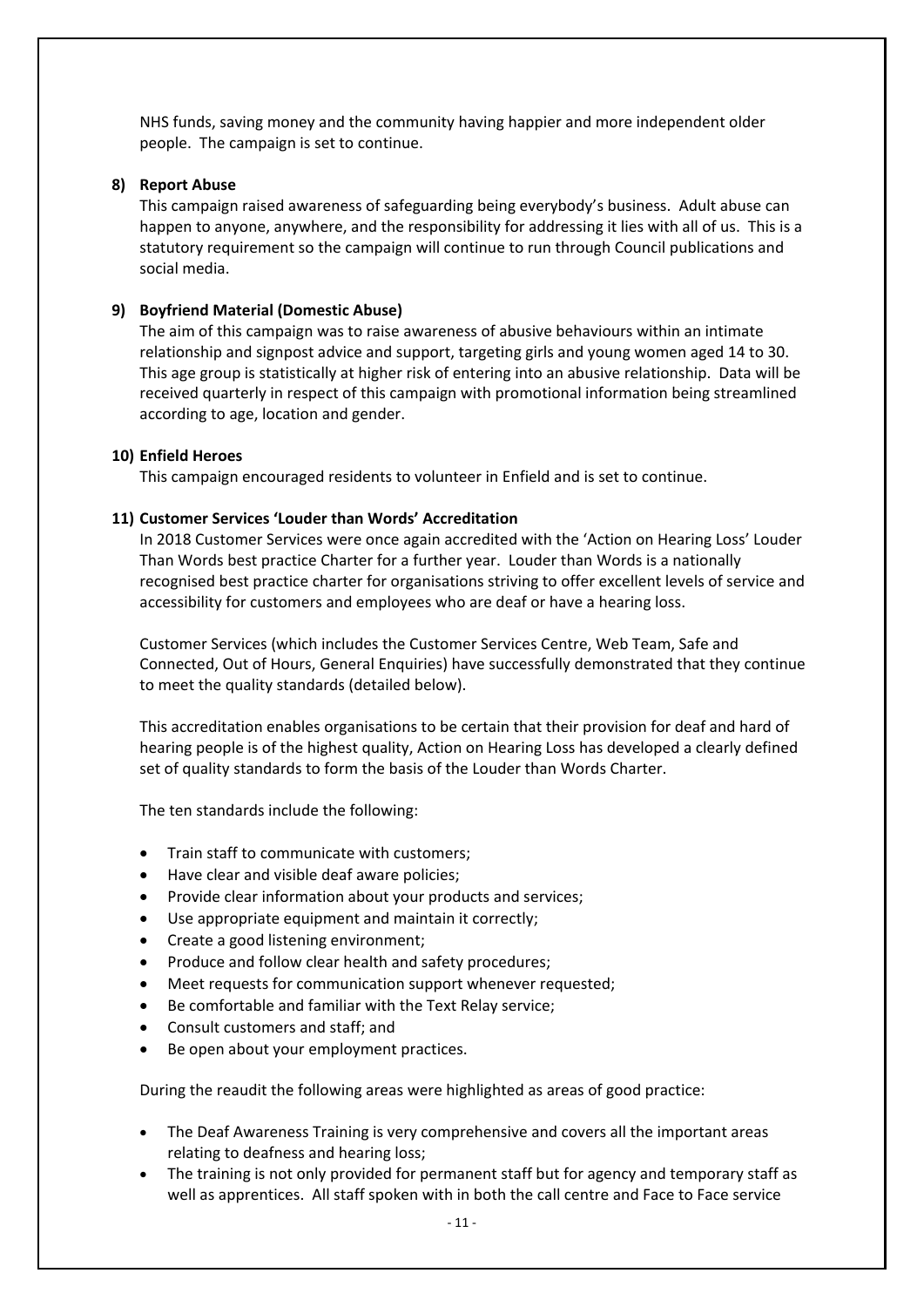NHS funds, saving money and the community having happier and more independent older people. The campaign is set to continue.

#### **8) Report Abuse**

This campaign raised awareness of safeguarding being everybody's business. Adult abuse can happen to anyone, anywhere, and the responsibility for addressing it lies with all of us. This is a statutory requirement so the campaign will continue to run through Council publications and social media.

#### **9) Boyfriend Material (Domestic Abuse)**

The aim of this campaign was to raise awareness of abusive behaviours within an intimate relationship and signpost advice and support, targeting girls and young women aged 14 to 30. This age group is statistically at higher risk of entering into an abusive relationship. Data will be received quarterly in respect of this campaign with promotional information being streamlined according to age, location and gender.

#### **10) Enfield Heroes**

This campaign encouraged residents to volunteer in Enfield and is set to continue.

#### **11) Customer Services 'Louder than Words' Accreditation**

In 2018 Customer Services were once again accredited with the 'Action on Hearing Loss' Louder Than Words best practice Charter for a further year. Louder than Words is a nationally recognised best practice charter for organisations striving to offer excellent levels of service and accessibility for customers and employees who are deaf or have a hearing loss.

Customer Services (which includes the Customer Services Centre, Web Team, Safe and Connected, Out of Hours, General Enquiries) have successfully demonstrated that they continue to meet the quality standards (detailed below).

This accreditation enables organisations to be certain that their provision for deaf and hard of hearing people is of the highest quality, Action on Hearing Loss has developed a clearly defined set of quality standards to form the basis of the Louder than Words Charter.

The ten standards include the following:

- Train staff to communicate with customers;
- Have clear and visible deaf aware policies;
- Provide clear information about your products and services;
- Use appropriate equipment and maintain it correctly;
- Create a good listening environment;
- Produce and follow clear health and safety procedures;
- Meet requests for communication support whenever requested;
- Be comfortable and familiar with the Text Relay service;
- Consult customers and staff; and
- Be open about your employment practices.

During the reaudit the following areas were highlighted as areas of good practice:

- The Deaf Awareness Training is very comprehensive and covers all the important areas relating to deafness and hearing loss;
- The training is not only provided for permanent staff but for agency and temporary staff as well as apprentices. All staff spoken with in both the call centre and Face to Face service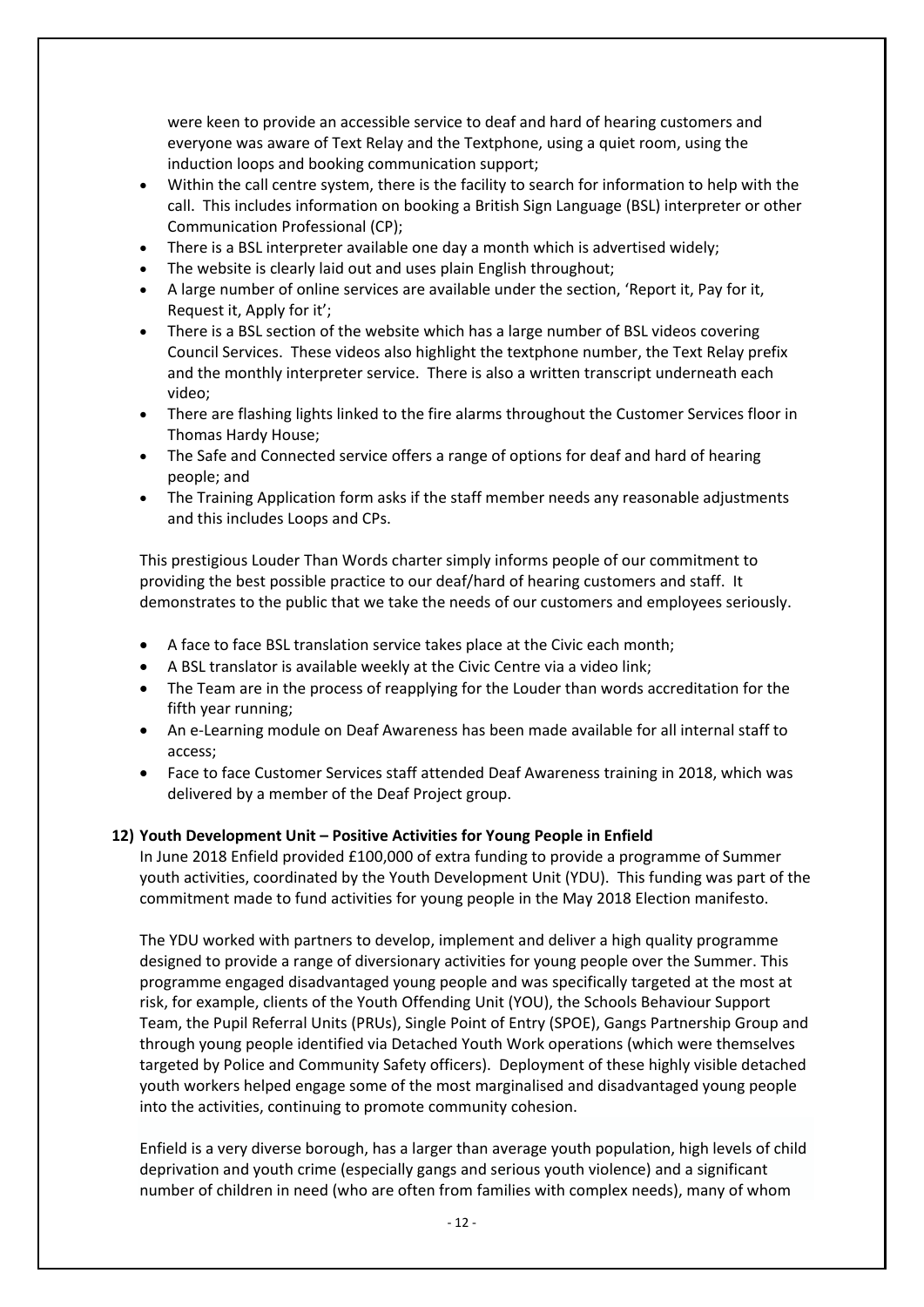were keen to provide an accessible service to deaf and hard of hearing customers and everyone was aware of Text Relay and the Textphone, using a quiet room, using the induction loops and booking communication support;

- Within the call centre system, there is the facility to search for information to help with the call. This includes information on booking a British Sign Language (BSL) interpreter or other Communication Professional (CP);
- There is a BSL interpreter available one day a month which is advertised widely;
- The website is clearly laid out and uses plain English throughout;
- A large number of online services are available under the section, 'Report it, Pay for it, Request it, Apply for it';
- There is a BSL section of the website which has a large number of BSL videos covering Council Services. These videos also highlight the textphone number, the Text Relay prefix and the monthly interpreter service. There is also a written transcript underneath each video;
- There are flashing lights linked to the fire alarms throughout the Customer Services floor in Thomas Hardy House;
- The Safe and Connected service offers a range of options for deaf and hard of hearing people; and
- The Training Application form asks if the staff member needs any reasonable adjustments and this includes Loops and CPs.

This prestigious Louder Than Words charter simply informs people of our commitment to providing the best possible practice to our deaf/hard of hearing customers and staff. It demonstrates to the public that we take the needs of our customers and employees seriously.

- A face to face BSL translation service takes place at the Civic each month;
- A BSL translator is available weekly at the Civic Centre via a video link;
- The Team are in the process of reapplying for the Louder than words accreditation for the fifth year running;
- An e-Learning module on Deaf Awareness has been made available for all internal staff to access;
- Face to face Customer Services staff attended Deaf Awareness training in 2018, which was delivered by a member of the Deaf Project group.

#### **12) Youth Development Unit – Positive Activities for Young People in Enfield**

In June 2018 Enfield provided £100,000 of extra funding to provide a programme of Summer youth activities, coordinated by the Youth Development Unit (YDU). This funding was part of the commitment made to fund activities for young people in the May 2018 Election manifesto.

The YDU worked with partners to develop, implement and deliver a high quality programme designed to provide a range of diversionary activities for young people over the Summer. This programme engaged disadvantaged young people and was specifically targeted at the most at risk, for example, clients of the Youth Offending Unit (YOU), the Schools Behaviour Support Team, the Pupil Referral Units (PRUs), Single Point of Entry (SPOE), Gangs Partnership Group and through young people identified via Detached Youth Work operations (which were themselves targeted by Police and Community Safety officers). Deployment of these highly visible detached youth workers helped engage some of the most marginalised and disadvantaged young people into the activities, continuing to promote community cohesion.

Enfield is a very diverse borough, has a larger than average youth population, high levels of child deprivation and youth crime (especially gangs and serious youth violence) and a significant number of children in need (who are often from families with complex needs), many of whom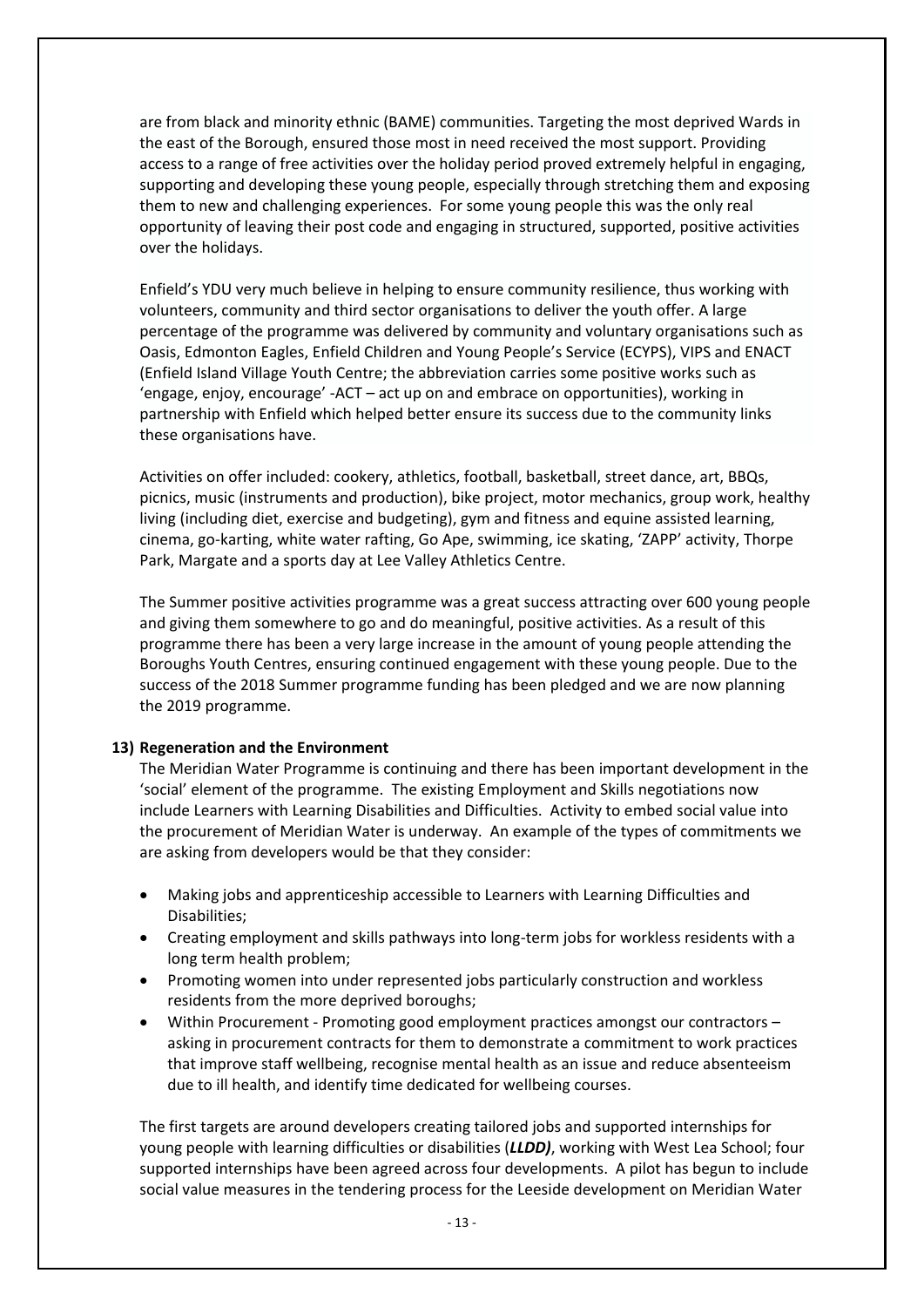are from black and minority ethnic (BAME) communities. Targeting the most deprived Wards in the east of the Borough, ensured those most in need received the most support. Providing access to a range of free activities over the holiday period proved extremely helpful in engaging, supporting and developing these young people, especially through stretching them and exposing them to new and challenging experiences. For some young people this was the only real opportunity of leaving their post code and engaging in structured, supported, positive activities over the holidays.

Enfield's YDU very much believe in helping to ensure community resilience, thus working with volunteers, community and third sector organisations to deliver the youth offer. A large percentage of the programme was delivered by community and voluntary organisations such as Oasis, Edmonton Eagles, Enfield Children and Young People's Service (ECYPS), VIPS and ENACT (Enfield Island Village Youth Centre; the abbreviation carries some positive works such as 'engage, enjoy, encourage' -ACT – act up on and embrace on opportunities), working in partnership with Enfield which helped better ensure its success due to the community links these organisations have.

Activities on offer included: cookery, athletics, football, basketball, street dance, art, BBQs, picnics, music (instruments and production), bike project, motor mechanics, group work, healthy living (including diet, exercise and budgeting), gym and fitness and equine assisted learning, cinema, go-karting, white water rafting, Go Ape, swimming, ice skating, 'ZAPP' activity, Thorpe Park, Margate and a sports day at Lee Valley Athletics Centre.

The Summer positive activities programme was a great success attracting over 600 young people and giving them somewhere to go and do meaningful, positive activities. As a result of this programme there has been a very large increase in the amount of young people attending the Boroughs Youth Centres, ensuring continued engagement with these young people. Due to the success of the 2018 Summer programme funding has been pledged and we are now planning the 2019 programme.

#### **13) Regeneration and the Environment**

The Meridian Water Programme is continuing and there has been important development in the 'social' element of the programme. The existing Employment and Skills negotiations now include Learners with Learning Disabilities and Difficulties. Activity to embed social value into the procurement of Meridian Water is underway. An example of the types of commitments we are asking from developers would be that they consider:

- Making jobs and apprenticeship accessible to Learners with Learning Difficulties and Disabilities;
- Creating employment and skills pathways into long-term jobs for workless residents with a long term health problem;
- Promoting women into under represented jobs particularly construction and workless residents from the more deprived boroughs;
- Within Procurement Promoting good employment practices amongst our contractors asking in procurement contracts for them to demonstrate a commitment to work practices that improve staff wellbeing, recognise mental health as an issue and reduce absenteeism due to ill health, and identify time dedicated for wellbeing courses.

The first targets are around developers creating tailored jobs and supported internships for young people with learning difficulties or disabilities (*LLDD)*, working with West Lea School; four supported internships have been agreed across four developments. A pilot has begun to include social value measures in the tendering process for the Leeside development on Meridian Water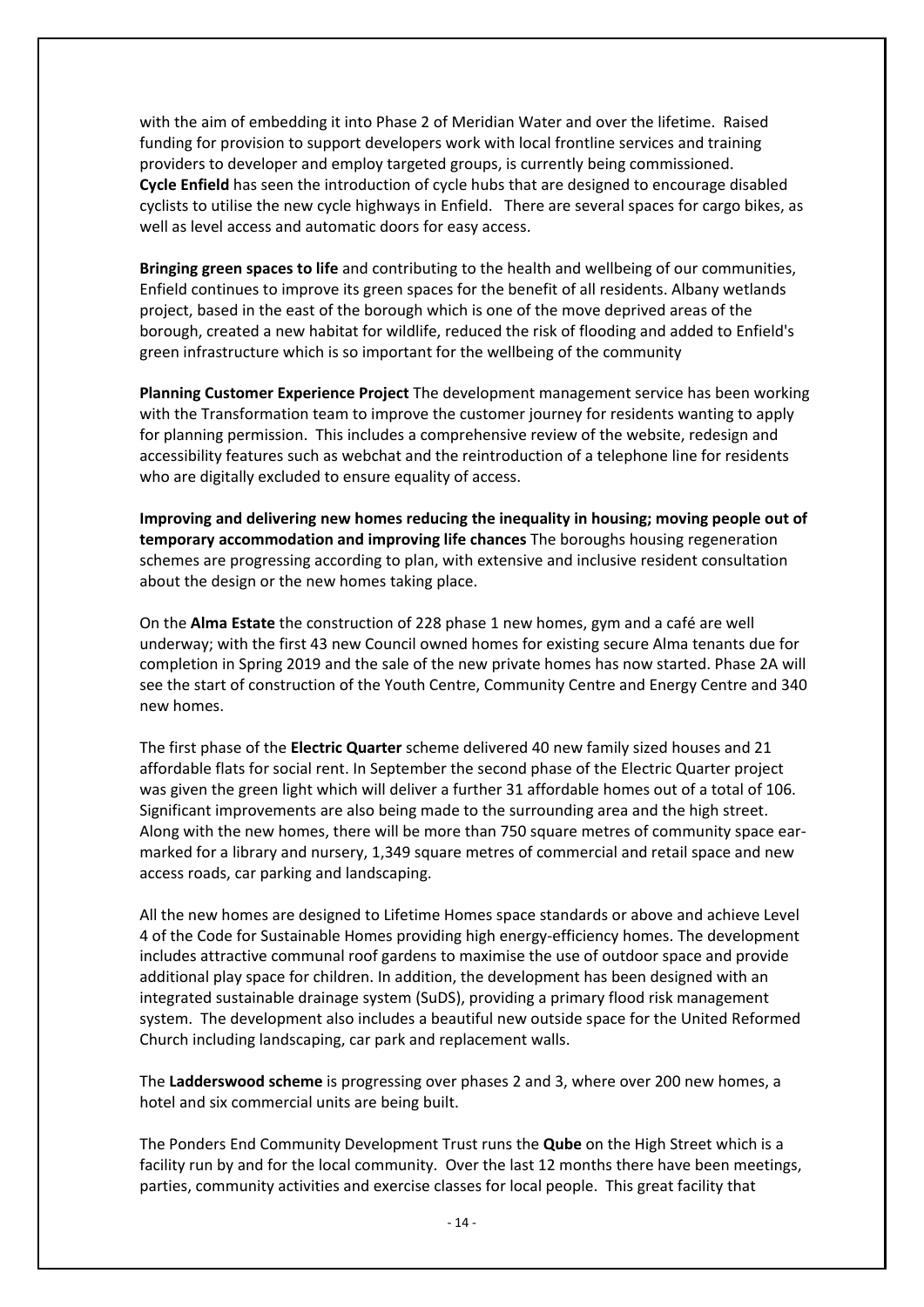with the aim of embedding it into Phase 2 of Meridian Water and over the lifetime. Raised funding for provision to support developers work with local frontline services and training providers to developer and employ targeted groups, is currently being commissioned. **Cycle Enfield** has seen the introduction of cycle hubs that are designed to encourage disabled cyclists to utilise the new cycle highways in Enfield. There are several spaces for cargo bikes, as well as level access and automatic doors for easy access.

**Bringing green spaces to life** and contributing to the health and wellbeing of our communities, Enfield continues to improve its green spaces for the benefit of all residents. Albany wetlands project, based in the east of the borough which is one of the move deprived areas of the borough, created a new habitat for wildlife, reduced the risk of flooding and added to Enfield's green infrastructure which is so important for the wellbeing of the community

**Planning Customer Experience Project** The development management service has been working with the Transformation team to improve the customer journey for residents wanting to apply for planning permission. This includes a comprehensive review of the website, redesign and accessibility features such as webchat and the reintroduction of a telephone line for residents who are digitally excluded to ensure equality of access.

**Improving and delivering new homes reducing the inequality in housing; moving people out of temporary accommodation and improving life chances** The boroughs housing regeneration schemes are progressing according to plan, with extensive and inclusive resident consultation about the design or the new homes taking place.

On the **Alma Estate** the construction of 228 phase 1 new homes, gym and a café are well underway; with the first 43 new Council owned homes for existing secure Alma tenants due for completion in Spring 2019 and the sale of the new private homes has now started. Phase 2A will see the start of construction of the Youth Centre, Community Centre and Energy Centre and 340 new homes.

The first phase of the **Electric Quarter** scheme delivered 40 new family sized houses and 21 affordable flats for social rent. In September the second phase of the Electric Quarter project was given the green light which will deliver a further 31 affordable homes out of a total of 106. Significant improvements are also being made to the surrounding area and the high street. Along with the new homes, there will be more than 750 square metres of community space earmarked for a library and nursery, 1,349 square metres of commercial and retail space and new access roads, car parking and landscaping.

All the new homes are designed to Lifetime Homes space standards or above and achieve Level 4 of the Code for Sustainable Homes providing high energy-efficiency homes. The development includes attractive communal roof gardens to maximise the use of outdoor space and provide additional play space for children. In addition, the development has been designed with an integrated sustainable drainage system (SuDS), providing a primary flood risk management system. The development also includes a beautiful new outside space for the United Reformed Church including landscaping, car park and replacement walls.

The **Ladderswood scheme** is progressing over phases 2 and 3, where over 200 new homes, a hotel and six commercial units are being built.

The Ponders End Community Development Trust runs the **Qube** on the High Street which is a facility run by and for the local community. Over the last 12 months there have been meetings, parties, community activities and exercise classes for local people. This great facility that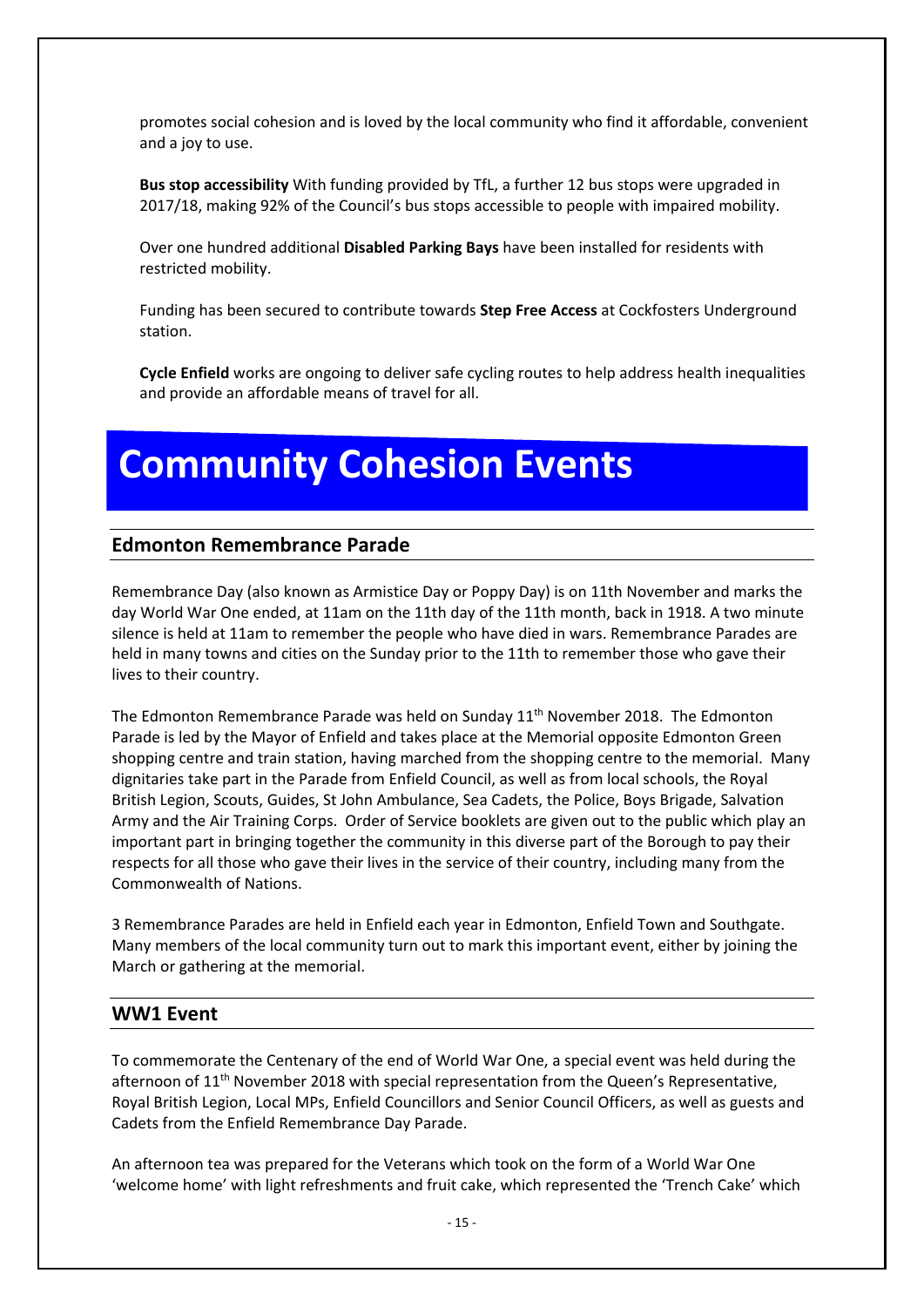promotes social cohesion and is loved by the local community who find it affordable, convenient and a joy to use.

**Bus stop accessibility** With funding provided by TfL, a further 12 bus stops were upgraded in 2017/18, making 92% of the Council's bus stops accessible to people with impaired mobility.

Over one hundred additional **Disabled Parking Bays** have been installed for residents with restricted mobility.

Funding has been secured to contribute towards **Step Free Access** at Cockfosters Underground station.

**Cycle Enfield** works are ongoing to deliver safe cycling routes to help address health inequalities and provide an affordable means of travel for all.

## **Community Cohesion Events**

#### **Edmonton Remembrance Parade**

Remembrance Day (also known as Armistice Day or Poppy Day) is on 11th November and marks the day World War One ended, at 11am on the 11th day of the 11th month, back in 1918. A two minute silence is held at 11am to remember the people who have died in wars. Remembrance Parades are held in many towns and cities on the Sunday prior to the 11th to remember those who gave their lives to their country.

The Edmonton Remembrance Parade was held on Sunday 11<sup>th</sup> November 2018. The Edmonton Parade is led by the Mayor of Enfield and takes place at the Memorial opposite Edmonton Green shopping centre and train station, having marched from the shopping centre to the memorial. Many dignitaries take part in the Parade from Enfield Council, as well as from local schools, the Royal British Legion, Scouts, Guides, St John Ambulance, Sea Cadets, the Police, Boys Brigade, Salvation Army and the Air Training Corps. Order of Service booklets are given out to the public which play an important part in bringing together the community in this diverse part of the Borough to pay their respects for all those who gave their lives in the service of their country, including many from the Commonwealth of Nations.

3 Remembrance Parades are held in Enfield each year in Edmonton, Enfield Town and Southgate. Many members of the local community turn out to mark this important event, either by joining the March or gathering at the memorial.

#### **WW1 Event**

To commemorate the Centenary of the end of World War One, a special event was held during the afternoon of 11<sup>th</sup> November 2018 with special representation from the Queen's Representative, Royal British Legion, Local MPs, Enfield Councillors and Senior Council Officers, as well as guests and Cadets from the Enfield Remembrance Day Parade.

An afternoon tea was prepared for the Veterans which took on the form of a World War One 'welcome home' with light refreshments and fruit cake, which represented the 'Trench Cake' which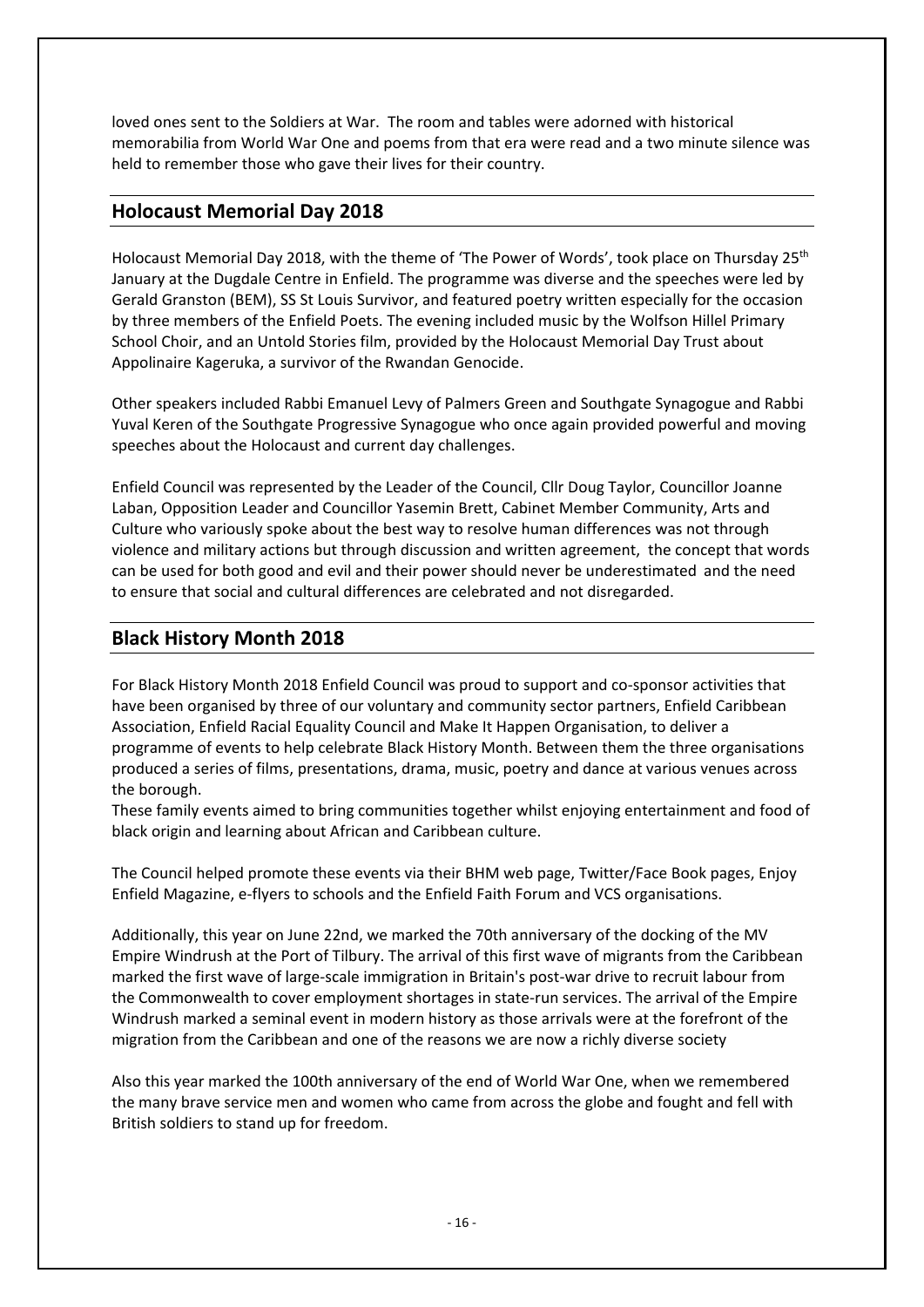loved ones sent to the Soldiers at War. The room and tables were adorned with historical memorabilia from World War One and poems from that era were read and a two minute silence was held to remember those who gave their lives for their country.

### **Holocaust Memorial Day 2018**

Holocaust Memorial Day 2018, with the theme of 'The Power of Words', took place on Thursday 25<sup>th</sup> January at the Dugdale Centre in Enfield. The programme was diverse and the speeches were led by Gerald Granston (BEM), SS St Louis Survivor, and featured poetry written especially for the occasion by three members of the Enfield Poets. The evening included music by the Wolfson Hillel Primary School Choir, and an Untold Stories film, provided by the Holocaust Memorial Day Trust about Appolinaire Kageruka, a survivor of the Rwandan Genocide.

Other speakers included Rabbi Emanuel Levy of Palmers Green and Southgate Synagogue and Rabbi Yuval Keren of the Southgate Progressive Synagogue who once again provided powerful and moving speeches about the Holocaust and current day challenges.

Enfield Council was represented by the Leader of the Council, Cllr Doug Taylor, Councillor Joanne Laban, Opposition Leader and Councillor Yasemin Brett, Cabinet Member Community, Arts and Culture who variously spoke about the best way to resolve human differences was not through violence and military actions but through discussion and written agreement, the concept that words can be used for both good and evil and their power should never be underestimated and the need to ensure that social and cultural differences are celebrated and not disregarded.

### **Black History Month 2018**

For Black History Month 2018 Enfield Council was proud to support and co-sponsor activities that have been organised by three of our voluntary and community sector partners, Enfield Caribbean Association, Enfield Racial Equality Council and Make It Happen Organisation, to deliver a programme of events to help celebrate Black History Month. Between them the three organisations produced a series of films, presentations, drama, music, poetry and dance at various venues across the borough.

These family events aimed to bring communities together whilst enjoying entertainment and food of black origin and learning about African and Caribbean culture.

The Council helped promote these events via their BHM web page, Twitter/Face Book pages, Enjoy Enfield Magazine, e-flyers to schools and the Enfield Faith Forum and VCS organisations.

Additionally, this year on June 22nd, we marked the 70th anniversary of the docking of the MV Empire Windrush at the Port of Tilbury. The arrival of this first wave of migrants from the Caribbean marked the first wave of large-scale immigration in Britain's post-war drive to recruit labour from the Commonwealth to cover employment shortages in state-run services. The arrival of the Empire Windrush marked a seminal event in modern history as those arrivals were at the forefront of the migration from the Caribbean and one of the reasons we are now a richly diverse society

Also this year marked the 100th anniversary of the end of World War One, when we remembered the many brave service men and women who came from across the globe and fought and fell with British soldiers to stand up for freedom.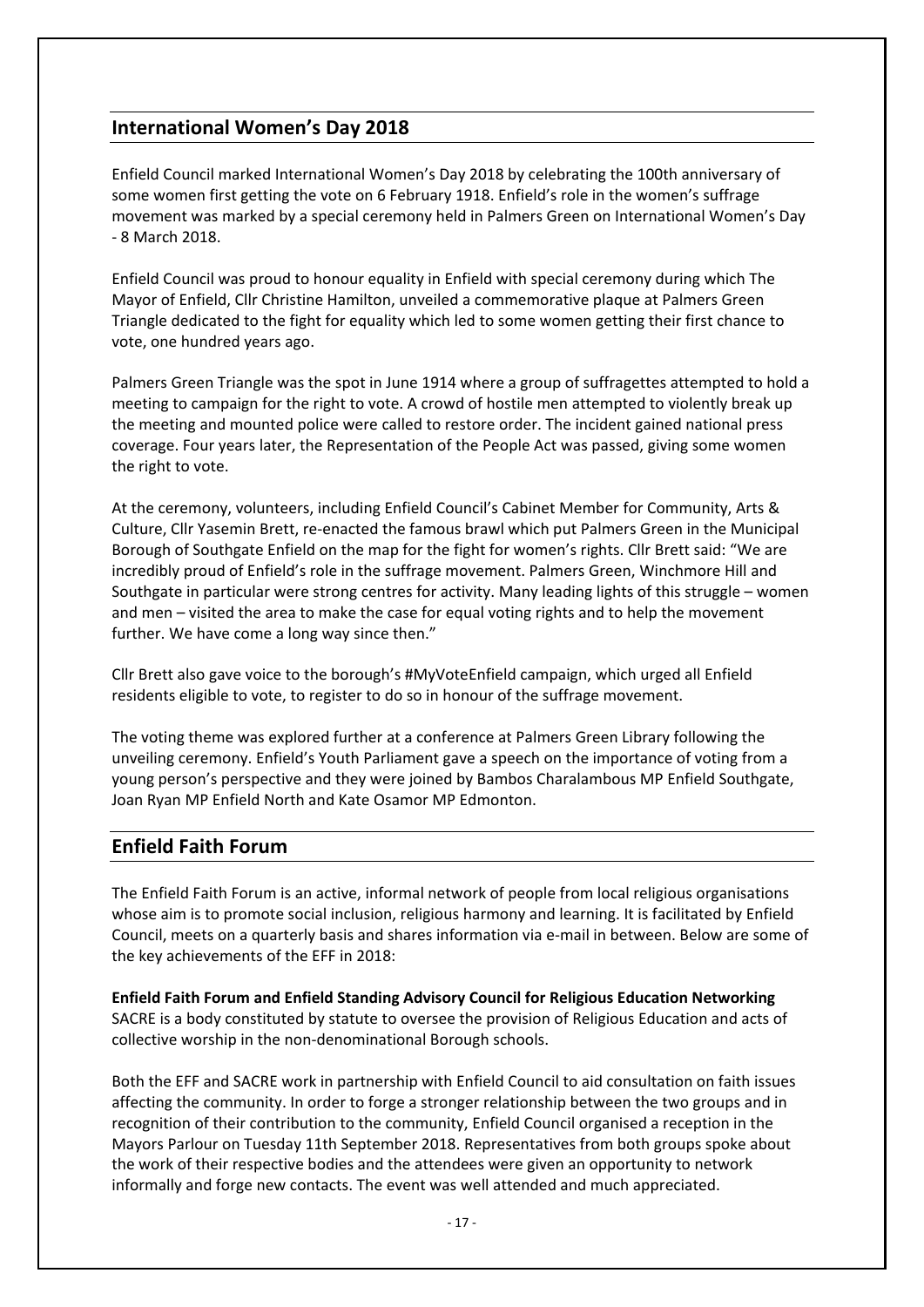### **International Women's Day 2018**

Enfield Council marked International Women's Day 2018 by celebrating the 100th anniversary of some women first getting the vote on 6 February 1918. Enfield's role in the women's suffrage movement was marked by a special ceremony held in Palmers Green on International Women's Day - 8 March 2018.

Enfield Council was proud to honour equality in Enfield with special ceremony during which The Mayor of Enfield, Cllr Christine Hamilton, unveiled a commemorative plaque at Palmers Green Triangle dedicated to the fight for equality which led to some women getting their first chance to vote, one hundred years ago.

Palmers Green Triangle was the spot in June 1914 where a group of suffragettes attempted to hold a meeting to campaign for the right to vote. A crowd of hostile men attempted to violently break up the meeting and mounted police were called to restore order. The incident gained national press coverage. Four years later, the Representation of the People Act was passed, giving some women the right to vote.

At the ceremony, volunteers, including Enfield Council's Cabinet Member for Community, Arts & Culture, Cllr Yasemin Brett, re-enacted the famous brawl which put Palmers Green in the Municipal Borough of Southgate Enfield on the map for the fight for women's rights. Cllr Brett said: "We are incredibly proud of Enfield's role in the suffrage movement. Palmers Green, Winchmore Hill and Southgate in particular were strong centres for activity. Many leading lights of this struggle – women and men – visited the area to make the case for equal voting rights and to help the movement further. We have come a long way since then."

Cllr Brett also gave voice to the borough's #MyVoteEnfield campaign, which urged all Enfield residents eligible to vote, to register to do so in honour of the suffrage movement.

The voting theme was explored further at a conference at Palmers Green Library following the unveiling ceremony. Enfield's Youth Parliament gave a speech on the importance of voting from a young person's perspective and they were joined by Bambos Charalambous MP Enfield Southgate, Joan Ryan MP Enfield North and Kate Osamor MP Edmonton.

### **Enfield Faith Forum**

The Enfield Faith Forum is an active, informal network of people from local religious organisations whose aim is to promote social inclusion, religious harmony and learning. It is facilitated by Enfield Council, meets on a quarterly basis and shares information via e-mail in between. Below are some of the key achievements of the EFF in 2018:

**Enfield Faith Forum and Enfield Standing Advisory Council for Religious Education Networking** SACRE is a body constituted by statute to oversee the provision of Religious Education and acts of collective worship in the non-denominational Borough schools.

Both the EFF and SACRE work in partnership with Enfield Council to aid consultation on faith issues affecting the community. In order to forge a stronger relationship between the two groups and in recognition of their contribution to the community, Enfield Council organised a reception in the Mayors Parlour on Tuesday 11th September 2018. Representatives from both groups spoke about the work of their respective bodies and the attendees were given an opportunity to network informally and forge new contacts. The event was well attended and much appreciated.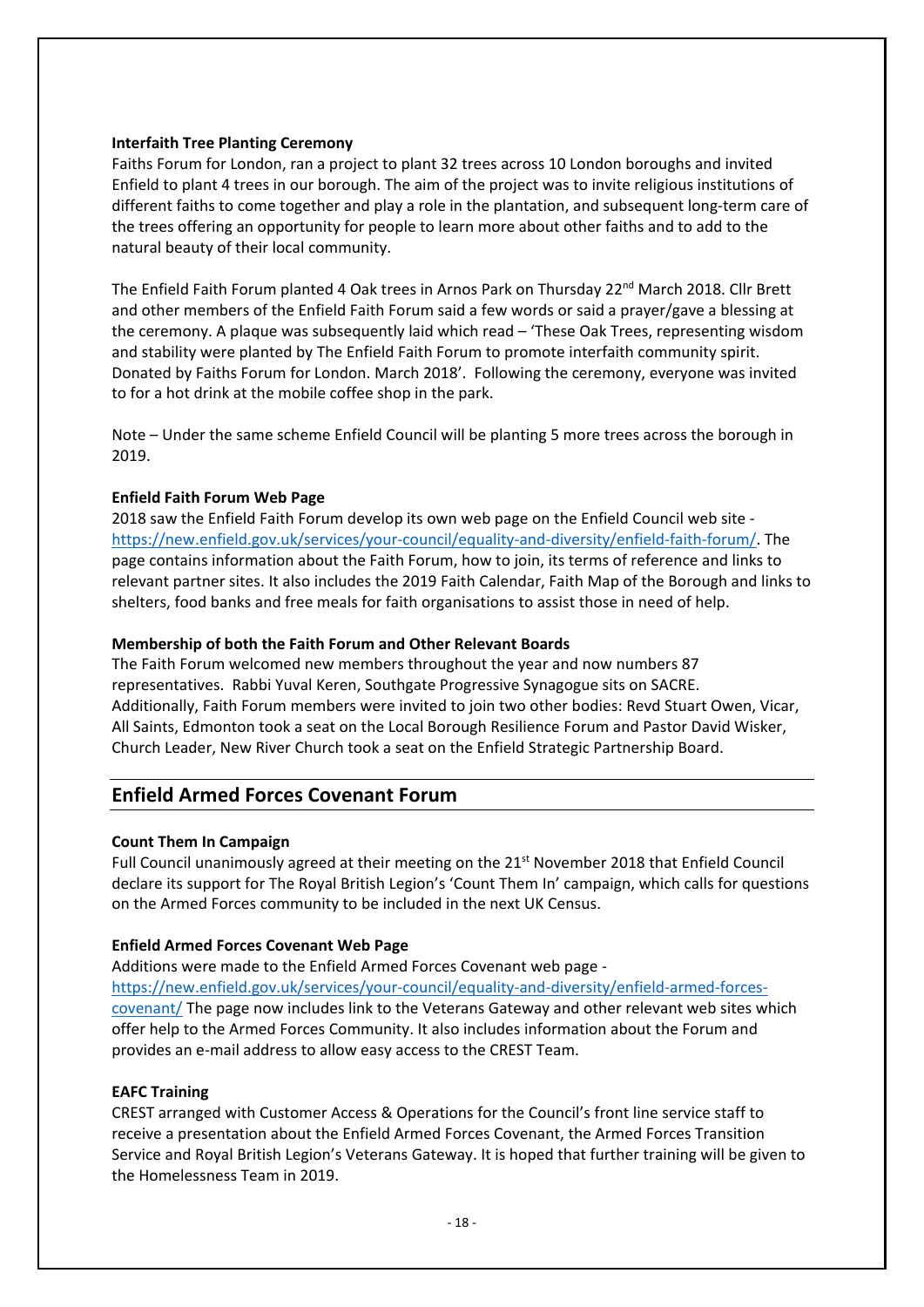#### **Interfaith Tree Planting Ceremony**

Faiths Forum for London, ran a project to plant 32 trees across 10 London boroughs and invited Enfield to plant 4 trees in our borough. The aim of the project was to invite religious institutions of different faiths to come together and play a role in the plantation, and subsequent long-term care of the trees offering an opportunity for people to learn more about other faiths and to add to the natural beauty of their local community.

The Enfield Faith Forum planted 4 Oak trees in Arnos Park on Thursday 22<sup>nd</sup> March 2018. Cllr Brett and other members of the Enfield Faith Forum said a few words or said a prayer/gave a blessing at the ceremony. A plaque was subsequently laid which read – 'These Oak Trees, representing wisdom and stability were planted by The Enfield Faith Forum to promote interfaith community spirit. Donated by Faiths Forum for London. March 2018'. Following the ceremony, everyone was invited to for a hot drink at the mobile coffee shop in the park.

Note – Under the same scheme Enfield Council will be planting 5 more trees across the borough in 2019.

#### **Enfield Faith Forum Web Page**

2018 saw the Enfield Faith Forum develop its own web page on the Enfield Council web site [https://new.enfield.gov.uk/services/your-council/equality-and-diversity/enfield-faith-forum/.](https://new.enfield.gov.uk/services/your-council/equality-and-diversity/enfield-faith-forum/) The page contains information about the Faith Forum, how to join, its terms of reference and links to relevant partner sites. It also includes the 2019 Faith Calendar, Faith Map of the Borough and links to shelters, food banks and free meals for faith organisations to assist those in need of help.

#### **Membership of both the Faith Forum and Other Relevant Boards**

The Faith Forum welcomed new members throughout the year and now numbers 87 representatives. Rabbi Yuval Keren, Southgate Progressive Synagogue sits on SACRE. Additionally, Faith Forum members were invited to join two other bodies: Revd Stuart Owen, Vicar, All Saints, Edmonton took a seat on the Local Borough Resilience Forum and Pastor David Wisker, Church Leader, New River Church took a seat on the Enfield Strategic Partnership Board.

### **Enfield Armed Forces Covenant Forum**

#### **Count Them In Campaign**

Full Council unanimously agreed at their meeting on the  $21<sup>st</sup>$  November 2018 that Enfield Council declare its support for The Royal British Legion's 'Count Them In' campaign, which calls for questions on the Armed Forces community to be included in the next UK Census.

#### **Enfield Armed Forces Covenant Web Page**

Additions were made to the Enfield Armed Forces Covenant web page [https://new.enfield.gov.uk/services/your-council/equality-and-diversity/enfield-armed-forces](https://new.enfield.gov.uk/services/your-council/equality-and-diversity/enfield-armed-forces-covenant/)[covenant/](https://new.enfield.gov.uk/services/your-council/equality-and-diversity/enfield-armed-forces-covenant/) The page now includes link to the Veterans Gateway and other relevant web sites which offer help to the Armed Forces Community. It also includes information about the Forum and provides an e-mail address to allow easy access to the CREST Team.

#### **EAFC Training**

CREST arranged with Customer Access & Operations for the Council's front line service staff to receive a presentation about the Enfield Armed Forces Covenant, the Armed Forces Transition Service and Royal British Legion's Veterans Gateway. It is hoped that further training will be given to the Homelessness Team in 2019.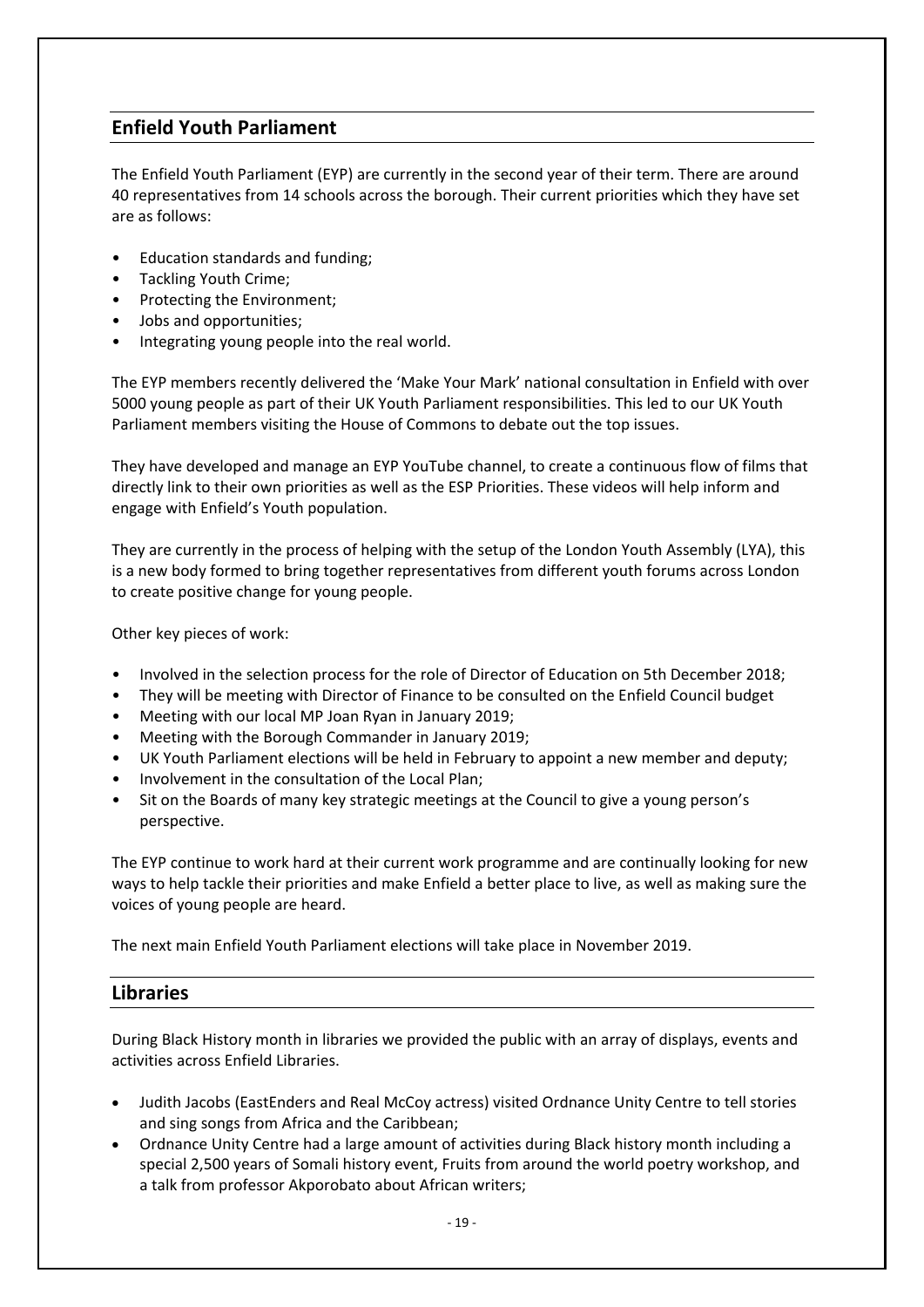### **Enfield Youth Parliament**

The Enfield Youth Parliament (EYP) are currently in the second year of their term. There are around 40 representatives from 14 schools across the borough. Their current priorities which they have set are as follows:

- Education standards and funding;
- Tackling Youth Crime;
- Protecting the Environment;
- Jobs and opportunities;
- Integrating young people into the real world.

The EYP members recently delivered the 'Make Your Mark' national consultation in Enfield with over 5000 young people as part of their UK Youth Parliament responsibilities. This led to our UK Youth Parliament members visiting the House of Commons to debate out the top issues.

They have developed and manage an EYP YouTube channel, to create a continuous flow of films that directly link to their own priorities as well as the ESP Priorities. These videos will help inform and engage with Enfield's Youth population.

They are currently in the process of helping with the setup of the London Youth Assembly (LYA), this is a new body formed to bring together representatives from different youth forums across London to create positive change for young people.

Other key pieces of work:

- Involved in the selection process for the role of Director of Education on 5th December 2018;
- They will be meeting with Director of Finance to be consulted on the Enfield Council budget
- Meeting with our local MP Joan Ryan in January 2019;
- Meeting with the Borough Commander in January 2019;
- UK Youth Parliament elections will be held in February to appoint a new member and deputy;
- Involvement in the consultation of the Local Plan;
- Sit on the Boards of many key strategic meetings at the Council to give a young person's perspective.

The EYP continue to work hard at their current work programme and are continually looking for new ways to help tackle their priorities and make Enfield a better place to live, as well as making sure the voices of young people are heard.

The next main Enfield Youth Parliament elections will take place in November 2019.

### **Libraries**

During Black History month in libraries we provided the public with an array of displays, events and activities across Enfield Libraries.

- Judith Jacobs (EastEnders and Real McCoy actress) visited Ordnance Unity Centre to tell stories and sing songs from Africa and the Caribbean;
- Ordnance Unity Centre had a large amount of activities during Black history month including a special 2,500 years of Somali history event, Fruits from around the world poetry workshop, and a talk from professor Akporobato about African writers;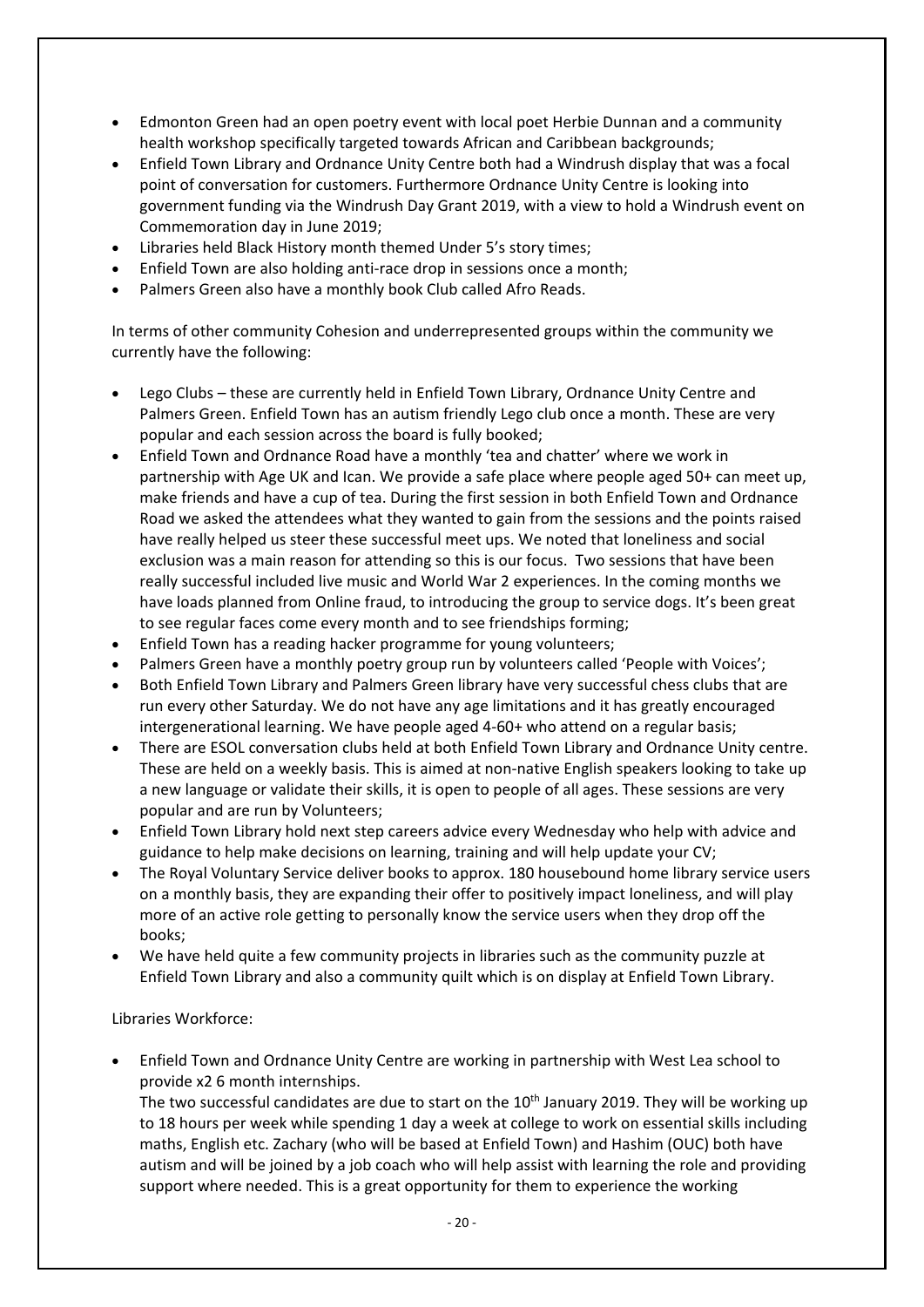- Edmonton Green had an open poetry event with local poet Herbie Dunnan and a community health workshop specifically targeted towards African and Caribbean backgrounds;
- Enfield Town Library and Ordnance Unity Centre both had a Windrush display that was a focal point of conversation for customers. Furthermore Ordnance Unity Centre is looking into government funding via the Windrush Day Grant 2019, with a view to hold a Windrush event on Commemoration day in June 2019;
- Libraries held Black History month themed Under 5's story times;
- Enfield Town are also holding anti-race drop in sessions once a month;
- Palmers Green also have a monthly book Club called Afro Reads.

In terms of other community Cohesion and underrepresented groups within the community we currently have the following:

- Lego Clubs these are currently held in Enfield Town Library, Ordnance Unity Centre and Palmers Green. Enfield Town has an autism friendly Lego club once a month. These are very popular and each session across the board is fully booked;
- Enfield Town and Ordnance Road have a monthly 'tea and chatter' where we work in partnership with Age UK and Ican. We provide a safe place where people aged 50+ can meet up, make friends and have a cup of tea. During the first session in both Enfield Town and Ordnance Road we asked the attendees what they wanted to gain from the sessions and the points raised have really helped us steer these successful meet ups. We noted that loneliness and social exclusion was a main reason for attending so this is our focus. Two sessions that have been really successful included live music and World War 2 experiences. In the coming months we have loads planned from Online fraud, to introducing the group to service dogs. It's been great to see regular faces come every month and to see friendships forming;
- Enfield Town has a reading hacker programme for young volunteers;
- Palmers Green have a monthly poetry group run by volunteers called 'People with Voices';
- Both Enfield Town Library and Palmers Green library have very successful chess clubs that are run every other Saturday. We do not have any age limitations and it has greatly encouraged intergenerational learning. We have people aged 4-60+ who attend on a regular basis;
- There are ESOL conversation clubs held at both Enfield Town Library and Ordnance Unity centre. These are held on a weekly basis. This is aimed at non-native English speakers looking to take up a new language or validate their skills, it is open to people of all ages. These sessions are very popular and are run by Volunteers;
- Enfield Town Library hold next step careers advice every Wednesday who help with advice and guidance to help make decisions on learning, training and will help update your CV;
- The Royal Voluntary Service deliver books to approx. 180 housebound home library service users on a monthly basis, they are expanding their offer to positively impact loneliness, and will play more of an active role getting to personally know the service users when they drop off the books;
- We have held quite a few community projects in libraries such as the community puzzle at Enfield Town Library and also a community quilt which is on display at Enfield Town Library.

#### Libraries Workforce:

• Enfield Town and Ordnance Unity Centre are working in partnership with West Lea school to provide x2 6 month internships. The two successful candidates are due to start on the  $10<sup>th</sup>$  January 2019. They will be working up

to 18 hours per week while spending 1 day a week at college to work on essential skills including maths, English etc. Zachary (who will be based at Enfield Town) and Hashim (OUC) both have autism and will be joined by a job coach who will help assist with learning the role and providing support where needed. This is a great opportunity for them to experience the working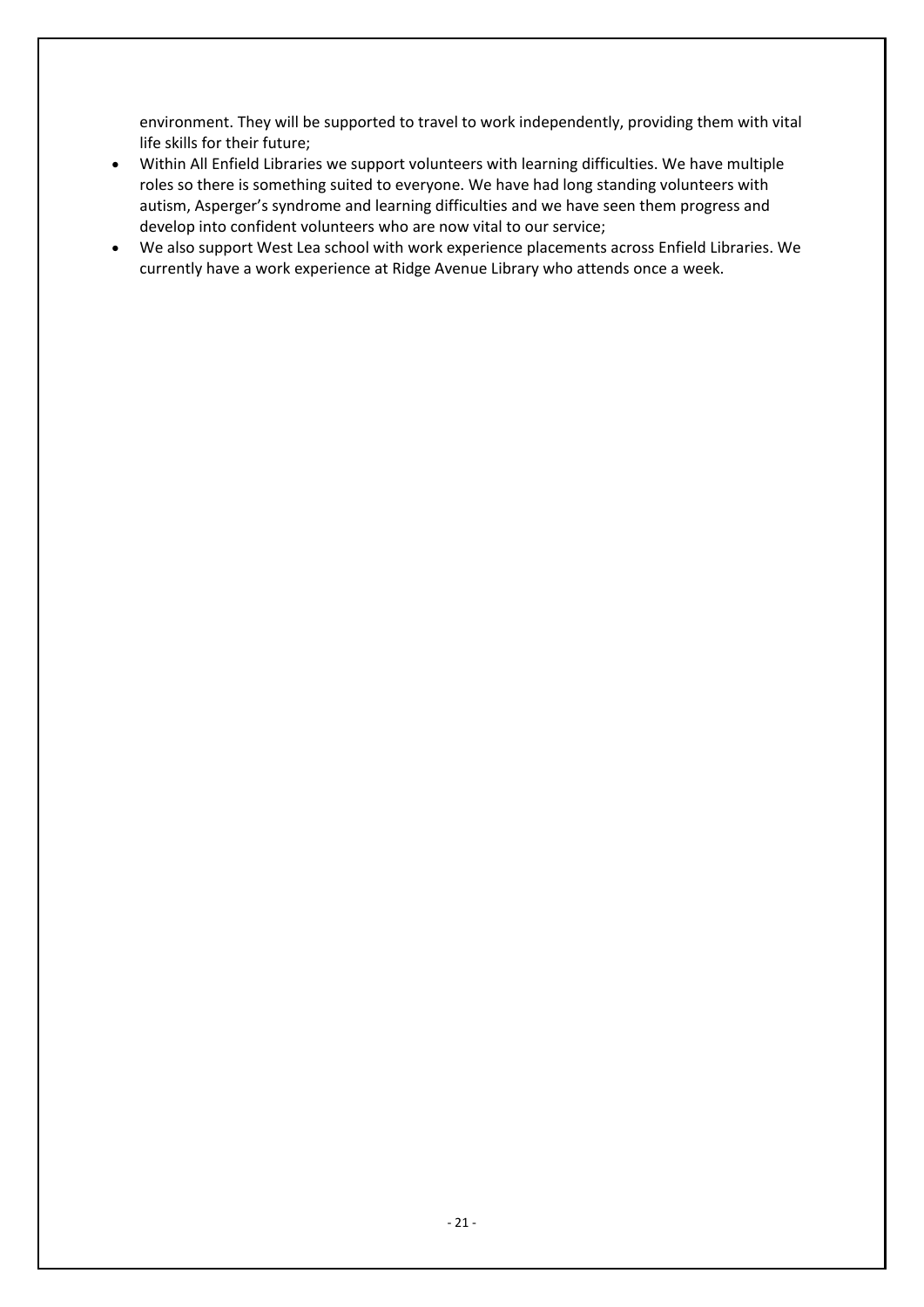environment. They will be supported to travel to work independently, providing them with vital life skills for their future;

- Within All Enfield Libraries we support volunteers with learning difficulties. We have multiple roles so there is something suited to everyone. We have had long standing volunteers with autism, Asperger's syndrome and learning difficulties and we have seen them progress and develop into confident volunteers who are now vital to our service;
- We also support West Lea school with work experience placements across Enfield Libraries. We currently have a work experience at Ridge Avenue Library who attends once a week.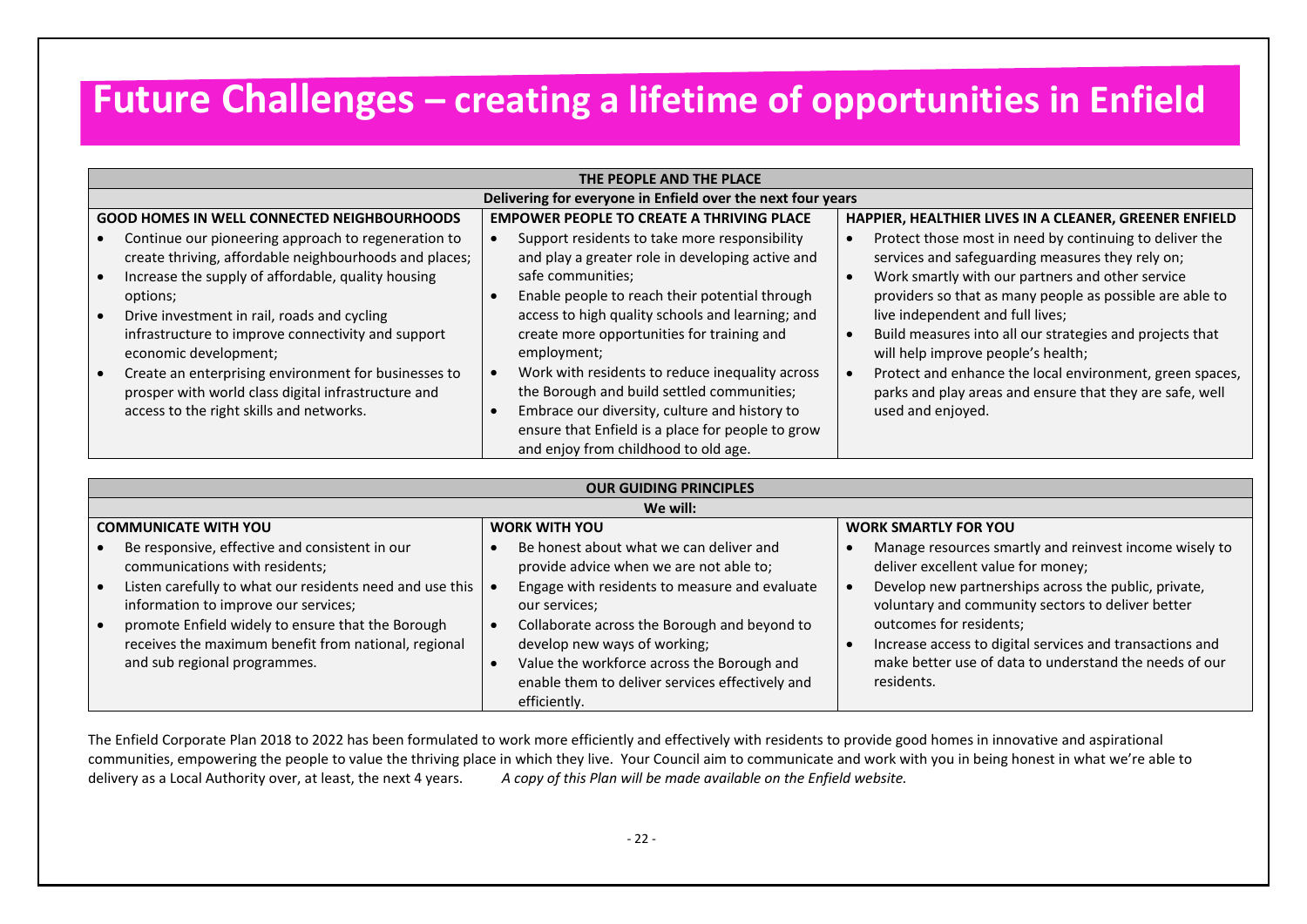## **Future Challenges – creating a lifetime of opportunities in Enfield**

|                                                             | THE PEOPLE AND THE PLACE                                                                                                                                                        |  |                                                                                                                                                                                                                                             |  |                                                                                                                                                                                                                             |  |  |  |
|-------------------------------------------------------------|---------------------------------------------------------------------------------------------------------------------------------------------------------------------------------|--|---------------------------------------------------------------------------------------------------------------------------------------------------------------------------------------------------------------------------------------------|--|-----------------------------------------------------------------------------------------------------------------------------------------------------------------------------------------------------------------------------|--|--|--|
| Delivering for everyone in Enfield over the next four years |                                                                                                                                                                                 |  |                                                                                                                                                                                                                                             |  |                                                                                                                                                                                                                             |  |  |  |
|                                                             | <b>GOOD HOMES IN WELL CONNECTED NEIGHBOURHOODS</b>                                                                                                                              |  | <b>EMPOWER PEOPLE TO CREATE A THRIVING PLACE</b>                                                                                                                                                                                            |  | HAPPIER, HEALTHIER LIVES IN A CLEANER, GREENER ENFIELD                                                                                                                                                                      |  |  |  |
|                                                             | Continue our pioneering approach to regeneration to<br>create thriving, affordable neighbourhoods and places;<br>Increase the supply of affordable, quality housing<br>options; |  | Support residents to take more responsibility<br>and play a greater role in developing active and<br>safe communities;<br>Enable people to reach their potential through                                                                    |  | Protect those most in need by continuing to deliver the<br>services and safeguarding measures they rely on;<br>Work smartly with our partners and other service<br>providers so that as many people as possible are able to |  |  |  |
|                                                             | Drive investment in rail, roads and cycling<br>infrastructure to improve connectivity and support<br>economic development;                                                      |  | access to high quality schools and learning; and<br>create more opportunities for training and<br>employment;                                                                                                                               |  | live independent and full lives;<br>Build measures into all our strategies and projects that<br>will help improve people's health;                                                                                          |  |  |  |
|                                                             | Create an enterprising environment for businesses to<br>prosper with world class digital infrastructure and<br>access to the right skills and networks.                         |  | Work with residents to reduce inequality across<br>the Borough and build settled communities;<br>Embrace our diversity, culture and history to<br>ensure that Enfield is a place for people to grow<br>and enjoy from childhood to old age. |  | Protect and enhance the local environment, green spaces,<br>parks and play areas and ensure that they are safe, well<br>used and enjoyed.                                                                                   |  |  |  |

| <b>OUR GUIDING PRINCIPLES</b>                                                                                                             |                                                                                                                                                                                               |                                                                                                                                                             |  |  |  |  |  |
|-------------------------------------------------------------------------------------------------------------------------------------------|-----------------------------------------------------------------------------------------------------------------------------------------------------------------------------------------------|-------------------------------------------------------------------------------------------------------------------------------------------------------------|--|--|--|--|--|
| We will:                                                                                                                                  |                                                                                                                                                                                               |                                                                                                                                                             |  |  |  |  |  |
| <b>COMMUNICATE WITH YOU</b>                                                                                                               | <b>WORK WITH YOU</b>                                                                                                                                                                          | <b>WORK SMARTLY FOR YOU</b>                                                                                                                                 |  |  |  |  |  |
| Be responsive, effective and consistent in our<br>communications with residents;                                                          | Be honest about what we can deliver and<br>provide advice when we are not able to;                                                                                                            | Manage resources smartly and reinvest income wisely to<br>deliver excellent value for money;                                                                |  |  |  |  |  |
| Listen carefully to what our residents need and use this<br>information to improve our services;                                          | Engage with residents to measure and evaluate<br>our services;                                                                                                                                | Develop new partnerships across the public, private,<br>voluntary and community sectors to deliver better                                                   |  |  |  |  |  |
| promote Enfield widely to ensure that the Borough<br>receives the maximum benefit from national, regional<br>and sub regional programmes. | Collaborate across the Borough and beyond to<br>develop new ways of working;<br>Value the workforce across the Borough and<br>enable them to deliver services effectively and<br>efficiently. | outcomes for residents;<br>Increase access to digital services and transactions and<br>make better use of data to understand the needs of our<br>residents. |  |  |  |  |  |

The Enfield Corporate Plan 2018 to 2022 has been formulated to work more efficiently and effectively with residents to provide good homes in innovative and aspirational communities, empowering the people to value the thriving place in which they live. Your Council aim to communicate and work with you in being honest in what we're able to delivery as a Local Authority over, at least, the next 4 years. *A copy of this Plan will be made available on the Enfield website.*